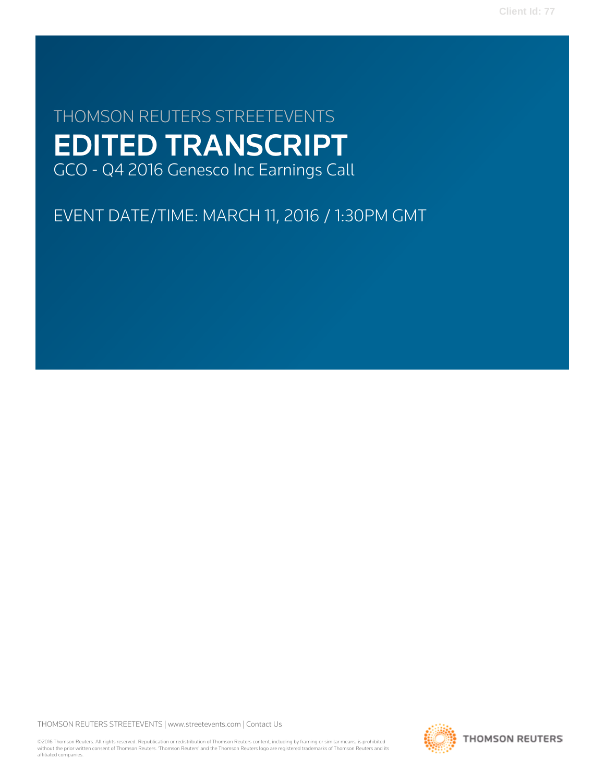**Client Id: 77**

# THOMSON REUTERS STREETEVENTS EDITED TRANSCRIPT GCO - Q4 2016 Genesco Inc Earnings Call

EVENT DATE/TIME: MARCH 11, 2016 / 1:30PM GMT

THOMSON REUTERS STREETEVENTS | [www.streetevents.com](http://www.streetevents.com) | [Contact Us](http://www010.streetevents.com/contact.asp)

©2016 Thomson Reuters. All rights reserved. Republication or redistribution of Thomson Reuters content, including by framing or similar means, is prohibited without the prior written consent of Thomson Reuters. 'Thomson Reuters' and the Thomson Reuters logo are registered trademarks of Thomson Reuters and its affiliated companies.

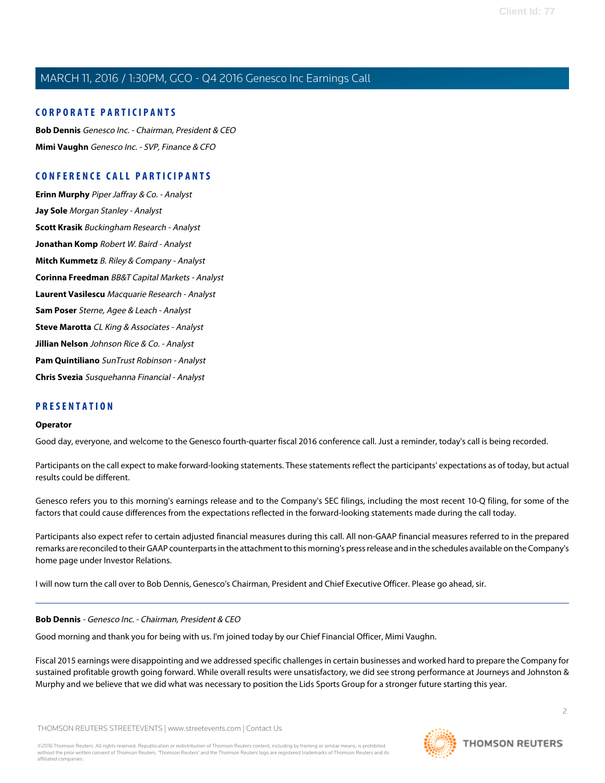### **CORPORATE PARTICIPANTS**

**[Bob Dennis](#page-1-0)** Genesco Inc. - Chairman, President & CEO **[Mimi Vaughn](#page-3-0)** Genesco Inc. - SVP, Finance & CFO

### **CONFERENCE CALL PARTICIPANTS**

**[Erinn Murphy](#page-8-0)** Piper Jaffray & Co. - Analyst **[Jay Sole](#page-11-0)** Morgan Stanley - Analyst **[Scott Krasik](#page-13-0)** Buckingham Research - Analyst **[Jonathan Komp](#page-14-0)** Robert W. Baird - Analyst **[Mitch Kummetz](#page-16-0)** B. Riley & Company - Analyst **[Corinna Freedman](#page-18-0)** BB&T Capital Markets - Analyst **[Laurent Vasilescu](#page-20-0)** Macquarie Research - Analyst **[Sam Poser](#page-21-0)** Sterne, Agee & Leach - Analyst **[Steve Marotta](#page-24-0)** CL King & Associates - Analyst **[Jillian Nelson](#page-24-1)** Johnson Rice & Co. - Analyst **[Pam Quintiliano](#page-25-0)** SunTrust Robinson - Analyst **[Chris Svezia](#page-26-0)** Susquehanna Financial - Analyst

### **PRESENTATION**

#### **Operator**

Good day, everyone, and welcome to the Genesco fourth-quarter fiscal 2016 conference call. Just a reminder, today's call is being recorded.

Participants on the call expect to make forward-looking statements. These statements reflect the participants' expectations as of today, but actual results could be different.

Genesco refers you to this morning's earnings release and to the Company's SEC filings, including the most recent 10-Q filing, for some of the factors that could cause differences from the expectations reflected in the forward-looking statements made during the call today.

<span id="page-1-0"></span>Participants also expect refer to certain adjusted financial measures during this call. All non-GAAP financial measures referred to in the prepared remarks are reconciled to their GAAP counterparts in the attachment to this morning's press release and in the schedules available on the Company's home page under Investor Relations.

I will now turn the call over to Bob Dennis, Genesco's Chairman, President and Chief Executive Officer. Please go ahead, sir.

#### **Bob Dennis** - Genesco Inc. - Chairman, President & CEO

Good morning and thank you for being with us. I'm joined today by our Chief Financial Officer, Mimi Vaughn.

Fiscal 2015 earnings were disappointing and we addressed specific challenges in certain businesses and worked hard to prepare the Company for sustained profitable growth going forward. While overall results were unsatisfactory, we did see strong performance at Journeys and Johnston & Murphy and we believe that we did what was necessary to position the Lids Sports Group for a stronger future starting this year.

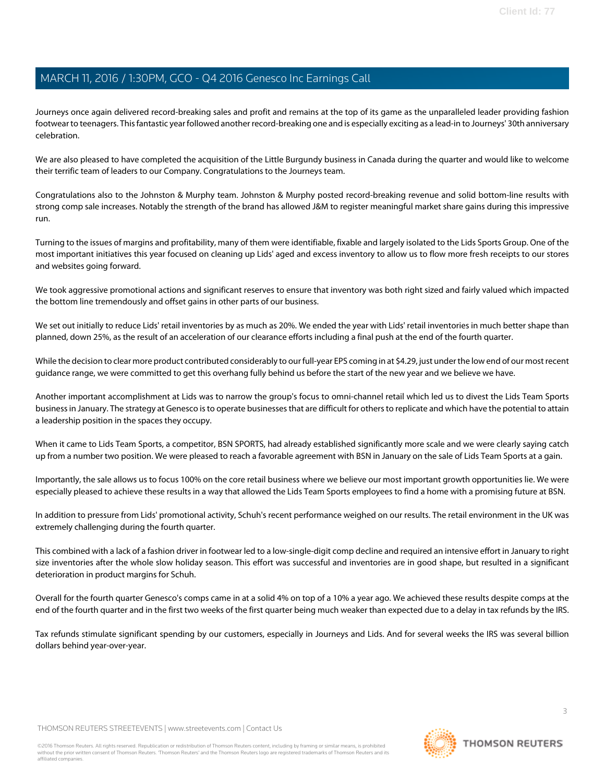Journeys once again delivered record-breaking sales and profit and remains at the top of its game as the unparalleled leader providing fashion footwear to teenagers. This fantastic year followed another record-breaking one and is especially exciting as a lead-in to Journeys' 30th anniversary celebration.

We are also pleased to have completed the acquisition of the Little Burgundy business in Canada during the quarter and would like to welcome their terrific team of leaders to our Company. Congratulations to the Journeys team.

Congratulations also to the Johnston & Murphy team. Johnston & Murphy posted record-breaking revenue and solid bottom-line results with strong comp sale increases. Notably the strength of the brand has allowed J&M to register meaningful market share gains during this impressive run.

Turning to the issues of margins and profitability, many of them were identifiable, fixable and largely isolated to the Lids Sports Group. One of the most important initiatives this year focused on cleaning up Lids' aged and excess inventory to allow us to flow more fresh receipts to our stores and websites going forward.

We took aggressive promotional actions and significant reserves to ensure that inventory was both right sized and fairly valued which impacted the bottom line tremendously and offset gains in other parts of our business.

We set out initially to reduce Lids' retail inventories by as much as 20%. We ended the year with Lids' retail inventories in much better shape than planned, down 25%, as the result of an acceleration of our clearance efforts including a final push at the end of the fourth quarter.

While the decision to clear more product contributed considerably to our full-year EPS coming in at \$4.29, just under the low end of our most recent guidance range, we were committed to get this overhang fully behind us before the start of the new year and we believe we have.

Another important accomplishment at Lids was to narrow the group's focus to omni-channel retail which led us to divest the Lids Team Sports business in January. The strategy at Genesco is to operate businesses that are difficult for others to replicate and which have the potential to attain a leadership position in the spaces they occupy.

When it came to Lids Team Sports, a competitor, BSN SPORTS, had already established significantly more scale and we were clearly saying catch up from a number two position. We were pleased to reach a favorable agreement with BSN in January on the sale of Lids Team Sports at a gain.

Importantly, the sale allows us to focus 100% on the core retail business where we believe our most important growth opportunities lie. We were especially pleased to achieve these results in a way that allowed the Lids Team Sports employees to find a home with a promising future at BSN.

In addition to pressure from Lids' promotional activity, Schuh's recent performance weighed on our results. The retail environment in the UK was extremely challenging during the fourth quarter.

This combined with a lack of a fashion driver in footwear led to a low-single-digit comp decline and required an intensive effort in January to right size inventories after the whole slow holiday season. This effort was successful and inventories are in good shape, but resulted in a significant deterioration in product margins for Schuh.

Overall for the fourth quarter Genesco's comps came in at a solid 4% on top of a 10% a year ago. We achieved these results despite comps at the end of the fourth quarter and in the first two weeks of the first quarter being much weaker than expected due to a delay in tax refunds by the IRS.

Tax refunds stimulate significant spending by our customers, especially in Journeys and Lids. And for several weeks the IRS was several billion dollars behind year-over-year.

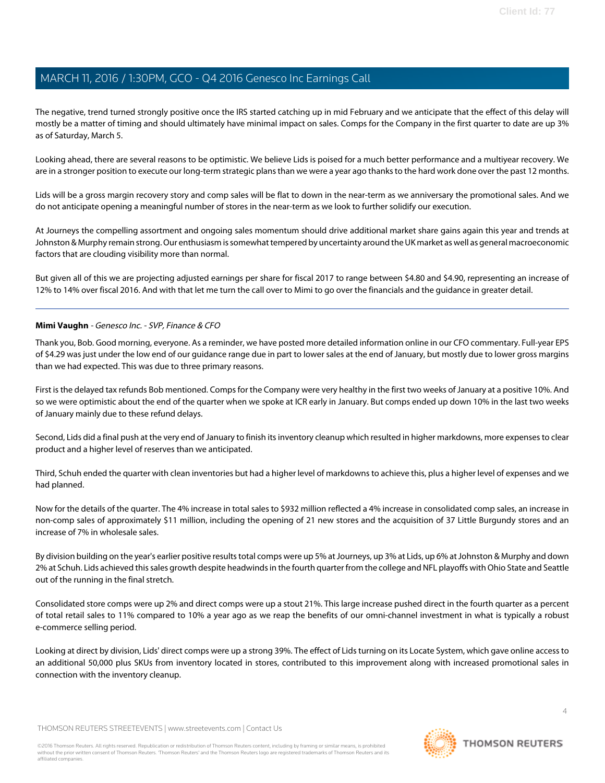The negative, trend turned strongly positive once the IRS started catching up in mid February and we anticipate that the effect of this delay will mostly be a matter of timing and should ultimately have minimal impact on sales. Comps for the Company in the first quarter to date are up 3% as of Saturday, March 5.

Looking ahead, there are several reasons to be optimistic. We believe Lids is poised for a much better performance and a multiyear recovery. We are in a stronger position to execute our long-term strategic plans than we were a year ago thanks to the hard work done over the past 12 months.

Lids will be a gross margin recovery story and comp sales will be flat to down in the near-term as we anniversary the promotional sales. And we do not anticipate opening a meaningful number of stores in the near-term as we look to further solidify our execution.

At Journeys the compelling assortment and ongoing sales momentum should drive additional market share gains again this year and trends at Johnston & Murphy remain strong. Our enthusiasm is somewhat tempered by uncertainty around the UK market as well as general macroeconomic factors that are clouding visibility more than normal.

<span id="page-3-0"></span>But given all of this we are projecting adjusted earnings per share for fiscal 2017 to range between \$4.80 and \$4.90, representing an increase of 12% to 14% over fiscal 2016. And with that let me turn the call over to Mimi to go over the financials and the guidance in greater detail.

#### **Mimi Vaughn** - Genesco Inc. - SVP, Finance & CFO

Thank you, Bob. Good morning, everyone. As a reminder, we have posted more detailed information online in our CFO commentary. Full-year EPS of \$4.29 was just under the low end of our guidance range due in part to lower sales at the end of January, but mostly due to lower gross margins than we had expected. This was due to three primary reasons.

First is the delayed tax refunds Bob mentioned. Comps for the Company were very healthy in the first two weeks of January at a positive 10%. And so we were optimistic about the end of the quarter when we spoke at ICR early in January. But comps ended up down 10% in the last two weeks of January mainly due to these refund delays.

Second, Lids did a final push at the very end of January to finish its inventory cleanup which resulted in higher markdowns, more expenses to clear product and a higher level of reserves than we anticipated.

Third, Schuh ended the quarter with clean inventories but had a higher level of markdowns to achieve this, plus a higher level of expenses and we had planned.

Now for the details of the quarter. The 4% increase in total sales to \$932 million reflected a 4% increase in consolidated comp sales, an increase in non-comp sales of approximately \$11 million, including the opening of 21 new stores and the acquisition of 37 Little Burgundy stores and an increase of 7% in wholesale sales.

By division building on the year's earlier positive results total comps were up 5% at Journeys, up 3% at Lids, up 6% at Johnston & Murphy and down 2% at Schuh. Lids achieved this sales growth despite headwinds in the fourth quarter from the college and NFL playoffs with Ohio State and Seattle out of the running in the final stretch.

Consolidated store comps were up 2% and direct comps were up a stout 21%. This large increase pushed direct in the fourth quarter as a percent of total retail sales to 11% compared to 10% a year ago as we reap the benefits of our omni-channel investment in what is typically a robust e-commerce selling period.

Looking at direct by division, Lids' direct comps were up a strong 39%. The effect of Lids turning on its Locate System, which gave online access to an additional 50,000 plus SKUs from inventory located in stores, contributed to this improvement along with increased promotional sales in connection with the inventory cleanup.

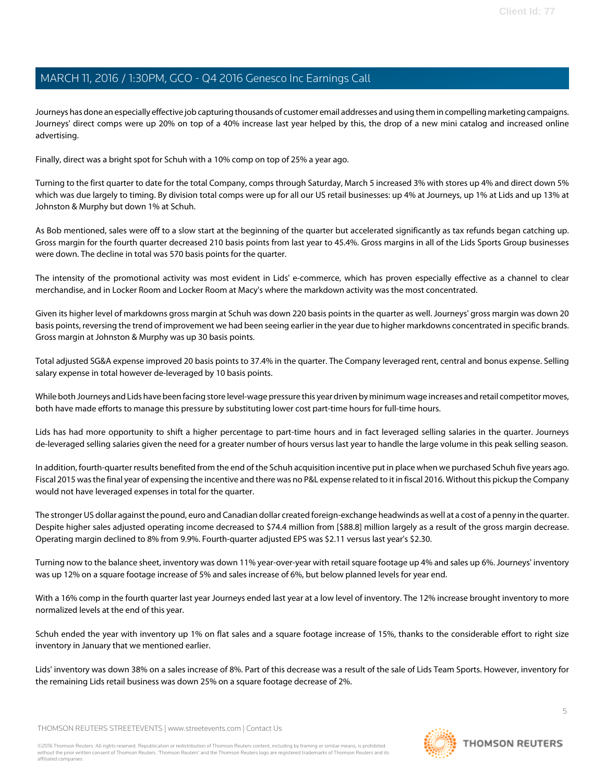Journeys has done an especially effective job capturing thousands of customer email addresses and using them in compelling marketing campaigns. Journeys' direct comps were up 20% on top of a 40% increase last year helped by this, the drop of a new mini catalog and increased online advertising.

Finally, direct was a bright spot for Schuh with a 10% comp on top of 25% a year ago.

Turning to the first quarter to date for the total Company, comps through Saturday, March 5 increased 3% with stores up 4% and direct down 5% which was due largely to timing. By division total comps were up for all our US retail businesses: up 4% at Journeys, up 1% at Lids and up 13% at Johnston & Murphy but down 1% at Schuh.

As Bob mentioned, sales were off to a slow start at the beginning of the quarter but accelerated significantly as tax refunds began catching up. Gross margin for the fourth quarter decreased 210 basis points from last year to 45.4%. Gross margins in all of the Lids Sports Group businesses were down. The decline in total was 570 basis points for the quarter.

The intensity of the promotional activity was most evident in Lids' e-commerce, which has proven especially effective as a channel to clear merchandise, and in Locker Room and Locker Room at Macy's where the markdown activity was the most concentrated.

Given its higher level of markdowns gross margin at Schuh was down 220 basis points in the quarter as well. Journeys' gross margin was down 20 basis points, reversing the trend of improvement we had been seeing earlier in the year due to higher markdowns concentrated in specific brands. Gross margin at Johnston & Murphy was up 30 basis points.

Total adjusted SG&A expense improved 20 basis points to 37.4% in the quarter. The Company leveraged rent, central and bonus expense. Selling salary expense in total however de-leveraged by 10 basis points.

While both Journeys and Lids have been facing store level-wage pressure this year driven by minimum wage increases and retail competitor moves, both have made efforts to manage this pressure by substituting lower cost part-time hours for full-time hours.

Lids has had more opportunity to shift a higher percentage to part-time hours and in fact leveraged selling salaries in the quarter. Journeys de-leveraged selling salaries given the need for a greater number of hours versus last year to handle the large volume in this peak selling season.

In addition, fourth-quarter results benefited from the end of the Schuh acquisition incentive put in place when we purchased Schuh five years ago. Fiscal 2015 was the final year of expensing the incentive and there was no P&L expense related to it in fiscal 2016. Without this pickup the Company would not have leveraged expenses in total for the quarter.

The stronger US dollar against the pound, euro and Canadian dollar created foreign-exchange headwinds as well at a cost of a penny in the quarter. Despite higher sales adjusted operating income decreased to \$74.4 million from [\$88.8] million largely as a result of the gross margin decrease. Operating margin declined to 8% from 9.9%. Fourth-quarter adjusted EPS was \$2.11 versus last year's \$2.30.

Turning now to the balance sheet, inventory was down 11% year-over-year with retail square footage up 4% and sales up 6%. Journeys' inventory was up 12% on a square footage increase of 5% and sales increase of 6%, but below planned levels for year end.

With a 16% comp in the fourth quarter last year Journeys ended last year at a low level of inventory. The 12% increase brought inventory to more normalized levels at the end of this year.

Schuh ended the year with inventory up 1% on flat sales and a square footage increase of 15%, thanks to the considerable effort to right size inventory in January that we mentioned earlier.

Lids' inventory was down 38% on a sales increase of 8%. Part of this decrease was a result of the sale of Lids Team Sports. However, inventory for the remaining Lids retail business was down 25% on a square footage decrease of 2%.

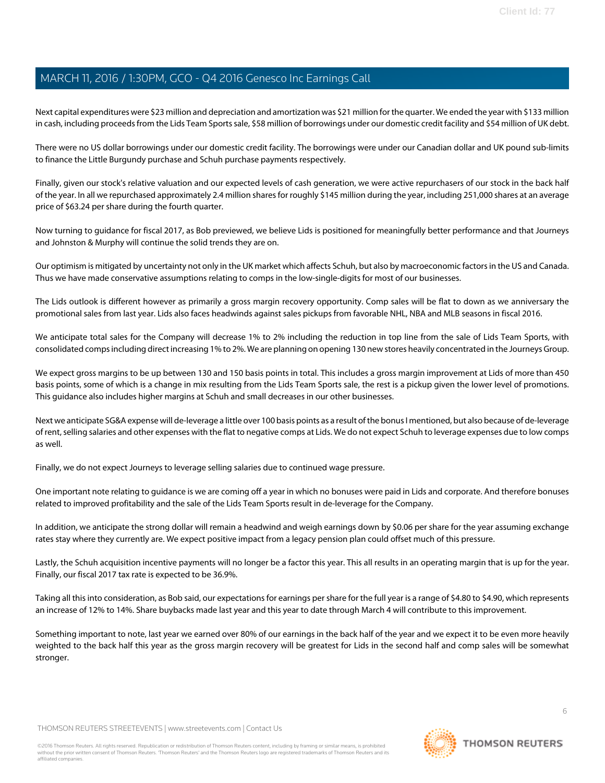Next capital expenditures were \$23 million and depreciation and amortization was \$21 million for the quarter. We ended the year with \$133 million in cash, including proceeds from the Lids Team Sports sale, \$58 million of borrowings under our domestic credit facility and \$54 million of UK debt.

There were no US dollar borrowings under our domestic credit facility. The borrowings were under our Canadian dollar and UK pound sub-limits to finance the Little Burgundy purchase and Schuh purchase payments respectively.

Finally, given our stock's relative valuation and our expected levels of cash generation, we were active repurchasers of our stock in the back half of the year. In all we repurchased approximately 2.4 million shares for roughly \$145 million during the year, including 251,000 shares at an average price of \$63.24 per share during the fourth quarter.

Now turning to guidance for fiscal 2017, as Bob previewed, we believe Lids is positioned for meaningfully better performance and that Journeys and Johnston & Murphy will continue the solid trends they are on.

Our optimism is mitigated by uncertainty not only in the UK market which affects Schuh, but also by macroeconomic factors in the US and Canada. Thus we have made conservative assumptions relating to comps in the low-single-digits for most of our businesses.

The Lids outlook is different however as primarily a gross margin recovery opportunity. Comp sales will be flat to down as we anniversary the promotional sales from last year. Lids also faces headwinds against sales pickups from favorable NHL, NBA and MLB seasons in fiscal 2016.

We anticipate total sales for the Company will decrease 1% to 2% including the reduction in top line from the sale of Lids Team Sports, with consolidated comps including direct increasing 1% to 2%. We are planning on opening 130 new stores heavily concentrated in the Journeys Group.

We expect gross margins to be up between 130 and 150 basis points in total. This includes a gross margin improvement at Lids of more than 450 basis points, some of which is a change in mix resulting from the Lids Team Sports sale, the rest is a pickup given the lower level of promotions. This guidance also includes higher margins at Schuh and small decreases in our other businesses.

Next we anticipate SG&A expense will de-leverage a little over 100 basis points as a result of the bonus I mentioned, but also because of de-leverage of rent, selling salaries and other expenses with the flat to negative comps at Lids. We do not expect Schuh to leverage expenses due to low comps as well.

Finally, we do not expect Journeys to leverage selling salaries due to continued wage pressure.

One important note relating to guidance is we are coming off a year in which no bonuses were paid in Lids and corporate. And therefore bonuses related to improved profitability and the sale of the Lids Team Sports result in de-leverage for the Company.

In addition, we anticipate the strong dollar will remain a headwind and weigh earnings down by \$0.06 per share for the year assuming exchange rates stay where they currently are. We expect positive impact from a legacy pension plan could offset much of this pressure.

Lastly, the Schuh acquisition incentive payments will no longer be a factor this year. This all results in an operating margin that is up for the year. Finally, our fiscal 2017 tax rate is expected to be 36.9%.

Taking all this into consideration, as Bob said, our expectations for earnings per share for the full year is a range of \$4.80 to \$4.90, which represents an increase of 12% to 14%. Share buybacks made last year and this year to date through March 4 will contribute to this improvement.

Something important to note, last year we earned over 80% of our earnings in the back half of the year and we expect it to be even more heavily weighted to the back half this year as the gross margin recovery will be greatest for Lids in the second half and comp sales will be somewhat stronger.

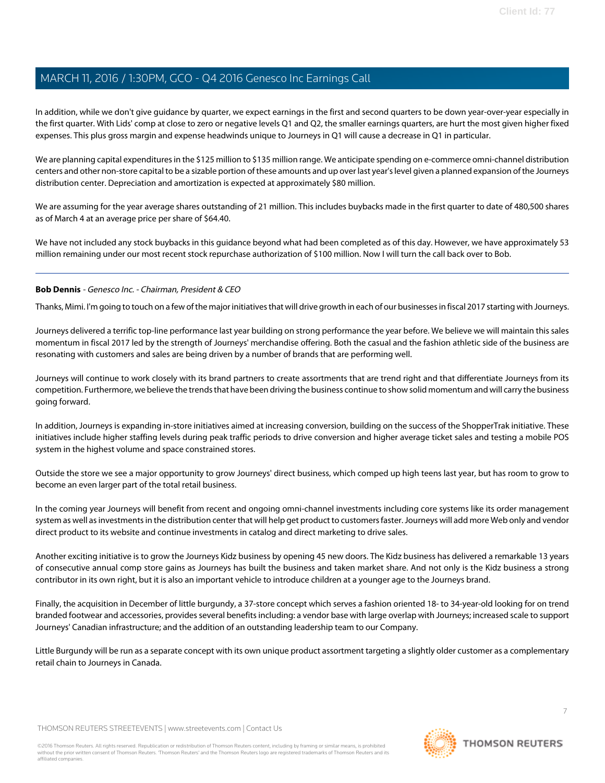In addition, while we don't give guidance by quarter, we expect earnings in the first and second quarters to be down year-over-year especially in the first quarter. With Lids' comp at close to zero or negative levels Q1 and Q2, the smaller earnings quarters, are hurt the most given higher fixed expenses. This plus gross margin and expense headwinds unique to Journeys in Q1 will cause a decrease in Q1 in particular.

We are planning capital expenditures in the \$125 million to \$135 million range. We anticipate spending on e-commerce omni-channel distribution centers and other non-store capital to be a sizable portion of these amounts and up over last year's level given a planned expansion of the Journeys distribution center. Depreciation and amortization is expected at approximately \$80 million.

We are assuming for the year average shares outstanding of 21 million. This includes buybacks made in the first quarter to date of 480,500 shares as of March 4 at an average price per share of \$64.40.

We have not included any stock buybacks in this guidance beyond what had been completed as of this day. However, we have approximately 53 million remaining under our most recent stock repurchase authorization of \$100 million. Now I will turn the call back over to Bob.

### **Bob Dennis** - Genesco Inc. - Chairman, President & CEO

Thanks, Mimi. I'm going to touch on a few of the major initiatives that will drive growth in each of our businesses in fiscal 2017 starting with Journeys.

Journeys delivered a terrific top-line performance last year building on strong performance the year before. We believe we will maintain this sales momentum in fiscal 2017 led by the strength of Journeys' merchandise offering. Both the casual and the fashion athletic side of the business are resonating with customers and sales are being driven by a number of brands that are performing well.

Journeys will continue to work closely with its brand partners to create assortments that are trend right and that differentiate Journeys from its competition. Furthermore, we believe the trends that have been driving the business continue to show solid momentum and will carry the business going forward.

In addition, Journeys is expanding in-store initiatives aimed at increasing conversion, building on the success of the ShopperTrak initiative. These initiatives include higher staffing levels during peak traffic periods to drive conversion and higher average ticket sales and testing a mobile POS system in the highest volume and space constrained stores.

Outside the store we see a major opportunity to grow Journeys' direct business, which comped up high teens last year, but has room to grow to become an even larger part of the total retail business.

In the coming year Journeys will benefit from recent and ongoing omni-channel investments including core systems like its order management system as well as investments in the distribution center that will help get product to customers faster. Journeys will add more Web only and vendor direct product to its website and continue investments in catalog and direct marketing to drive sales.

Another exciting initiative is to grow the Journeys Kidz business by opening 45 new doors. The Kidz business has delivered a remarkable 13 years of consecutive annual comp store gains as Journeys has built the business and taken market share. And not only is the Kidz business a strong contributor in its own right, but it is also an important vehicle to introduce children at a younger age to the Journeys brand.

Finally, the acquisition in December of little burgundy, a 37-store concept which serves a fashion oriented 18- to 34-year-old looking for on trend branded footwear and accessories, provides several benefits including: a vendor base with large overlap with Journeys; increased scale to support Journeys' Canadian infrastructure; and the addition of an outstanding leadership team to our Company.

Little Burgundy will be run as a separate concept with its own unique product assortment targeting a slightly older customer as a complementary retail chain to Journeys in Canada.

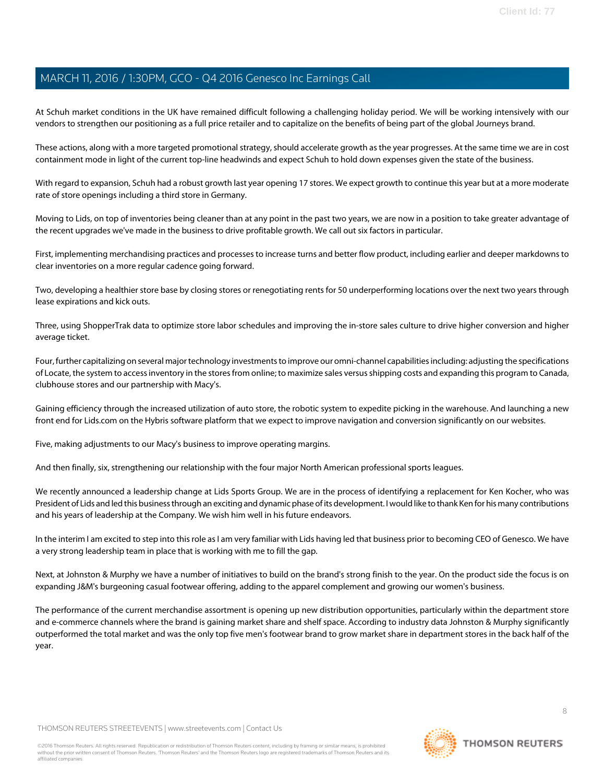At Schuh market conditions in the UK have remained difficult following a challenging holiday period. We will be working intensively with our vendors to strengthen our positioning as a full price retailer and to capitalize on the benefits of being part of the global Journeys brand.

These actions, along with a more targeted promotional strategy, should accelerate growth as the year progresses. At the same time we are in cost containment mode in light of the current top-line headwinds and expect Schuh to hold down expenses given the state of the business.

With regard to expansion, Schuh had a robust growth last year opening 17 stores. We expect growth to continue this year but at a more moderate rate of store openings including a third store in Germany.

Moving to Lids, on top of inventories being cleaner than at any point in the past two years, we are now in a position to take greater advantage of the recent upgrades we've made in the business to drive profitable growth. We call out six factors in particular.

First, implementing merchandising practices and processes to increase turns and better flow product, including earlier and deeper markdowns to clear inventories on a more regular cadence going forward.

Two, developing a healthier store base by closing stores or renegotiating rents for 50 underperforming locations over the next two years through lease expirations and kick outs.

Three, using ShopperTrak data to optimize store labor schedules and improving the in-store sales culture to drive higher conversion and higher average ticket.

Four, further capitalizing on several major technology investments to improve our omni-channel capabilities including: adjusting the specifications of Locate, the system to access inventory in the stores from online; to maximize sales versus shipping costs and expanding this program to Canada, clubhouse stores and our partnership with Macy's.

Gaining efficiency through the increased utilization of auto store, the robotic system to expedite picking in the warehouse. And launching a new front end for Lids.com on the Hybris software platform that we expect to improve navigation and conversion significantly on our websites.

Five, making adjustments to our Macy's business to improve operating margins.

And then finally, six, strengthening our relationship with the four major North American professional sports leagues.

We recently announced a leadership change at Lids Sports Group. We are in the process of identifying a replacement for Ken Kocher, who was President of Lids and led this business through an exciting and dynamic phase of its development. I would like to thank Ken for his many contributions and his years of leadership at the Company. We wish him well in his future endeavors.

In the interim I am excited to step into this role as I am very familiar with Lids having led that business prior to becoming CEO of Genesco. We have a very strong leadership team in place that is working with me to fill the gap.

Next, at Johnston & Murphy we have a number of initiatives to build on the brand's strong finish to the year. On the product side the focus is on expanding J&M's burgeoning casual footwear offering, adding to the apparel complement and growing our women's business.

The performance of the current merchandise assortment is opening up new distribution opportunities, particularly within the department store and e-commerce channels where the brand is gaining market share and shelf space. According to industry data Johnston & Murphy significantly outperformed the total market and was the only top five men's footwear brand to grow market share in department stores in the back half of the year.

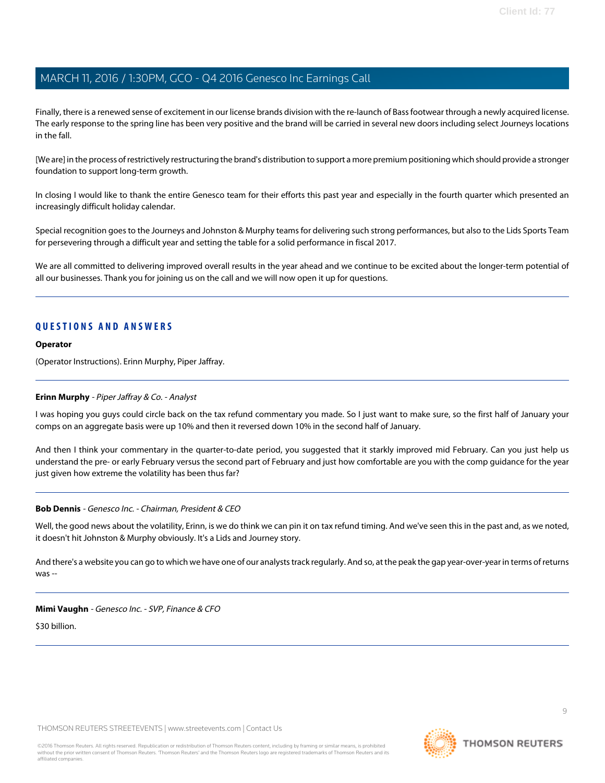Finally, there is a renewed sense of excitement in our license brands division with the re-launch of Bass footwear through a newly acquired license. The early response to the spring line has been very positive and the brand will be carried in several new doors including select Journeys locations in the fall.

[We are] in the process of restrictively restructuring the brand's distribution to support a more premium positioning which should provide a stronger foundation to support long-term growth.

In closing I would like to thank the entire Genesco team for their efforts this past year and especially in the fourth quarter which presented an increasingly difficult holiday calendar.

Special recognition goes to the Journeys and Johnston & Murphy teams for delivering such strong performances, but also to the Lids Sports Team for persevering through a difficult year and setting the table for a solid performance in fiscal 2017.

We are all committed to delivering improved overall results in the year ahead and we continue to be excited about the longer-term potential of all our businesses. Thank you for joining us on the call and we will now open it up for questions.

### **QUESTIONS AND ANSWERS**

#### **Operator**

<span id="page-8-0"></span>(Operator Instructions). Erinn Murphy, Piper Jaffray.

#### **Erinn Murphy** - Piper Jaffray & Co. - Analyst

I was hoping you guys could circle back on the tax refund commentary you made. So I just want to make sure, so the first half of January your comps on an aggregate basis were up 10% and then it reversed down 10% in the second half of January.

And then I think your commentary in the quarter-to-date period, you suggested that it starkly improved mid February. Can you just help us understand the pre- or early February versus the second part of February and just how comfortable are you with the comp guidance for the year just given how extreme the volatility has been thus far?

#### **Bob Dennis** - Genesco Inc. - Chairman, President & CEO

Well, the good news about the volatility, Erinn, is we do think we can pin it on tax refund timing. And we've seen this in the past and, as we noted, it doesn't hit Johnston & Murphy obviously. It's a Lids and Journey story.

And there's a website you can go to which we have one of our analysts track regularly. And so, at the peak the gap year-over-year in terms of returns was --

**Mimi Vaughn** - Genesco Inc. - SVP, Finance & CFO

\$30 billion.



**THOMSON REUTERS**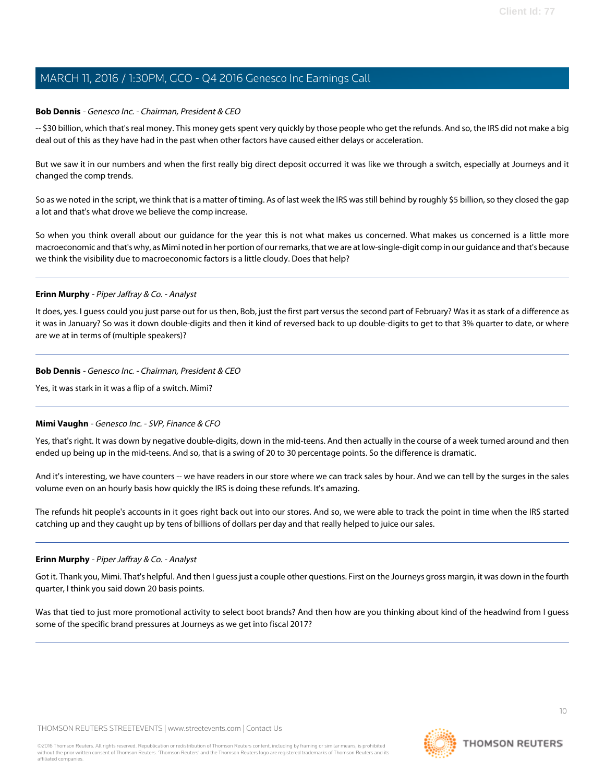#### **Bob Dennis** - Genesco Inc. - Chairman, President & CEO

-- \$30 billion, which that's real money. This money gets spent very quickly by those people who get the refunds. And so, the IRS did not make a big deal out of this as they have had in the past when other factors have caused either delays or acceleration.

But we saw it in our numbers and when the first really big direct deposit occurred it was like we through a switch, especially at Journeys and it changed the comp trends.

So as we noted in the script, we think that is a matter of timing. As of last week the IRS was still behind by roughly \$5 billion, so they closed the gap a lot and that's what drove we believe the comp increase.

So when you think overall about our guidance for the year this is not what makes us concerned. What makes us concerned is a little more macroeconomic and that's why, as Mimi noted in her portion of our remarks, that we are at low-single-digit comp in our guidance and that's because we think the visibility due to macroeconomic factors is a little cloudy. Does that help?

#### **Erinn Murphy** - Piper Jaffray & Co. - Analyst

It does, yes. I guess could you just parse out for us then, Bob, just the first part versus the second part of February? Was it as stark of a difference as it was in January? So was it down double-digits and then it kind of reversed back to up double-digits to get to that 3% quarter to date, or where are we at in terms of (multiple speakers)?

#### **Bob Dennis** - Genesco Inc. - Chairman, President & CEO

Yes, it was stark in it was a flip of a switch. Mimi?

#### **Mimi Vaughn** - Genesco Inc. - SVP, Finance & CFO

Yes, that's right. It was down by negative double-digits, down in the mid-teens. And then actually in the course of a week turned around and then ended up being up in the mid-teens. And so, that is a swing of 20 to 30 percentage points. So the difference is dramatic.

And it's interesting, we have counters -- we have readers in our store where we can track sales by hour. And we can tell by the surges in the sales volume even on an hourly basis how quickly the IRS is doing these refunds. It's amazing.

The refunds hit people's accounts in it goes right back out into our stores. And so, we were able to track the point in time when the IRS started catching up and they caught up by tens of billions of dollars per day and that really helped to juice our sales.

#### **Erinn Murphy** - Piper Jaffray & Co. - Analyst

Got it. Thank you, Mimi. That's helpful. And then I guess just a couple other questions. First on the Journeys gross margin, it was down in the fourth quarter, I think you said down 20 basis points.

Was that tied to just more promotional activity to select boot brands? And then how are you thinking about kind of the headwind from I guess some of the specific brand pressures at Journeys as we get into fiscal 2017?

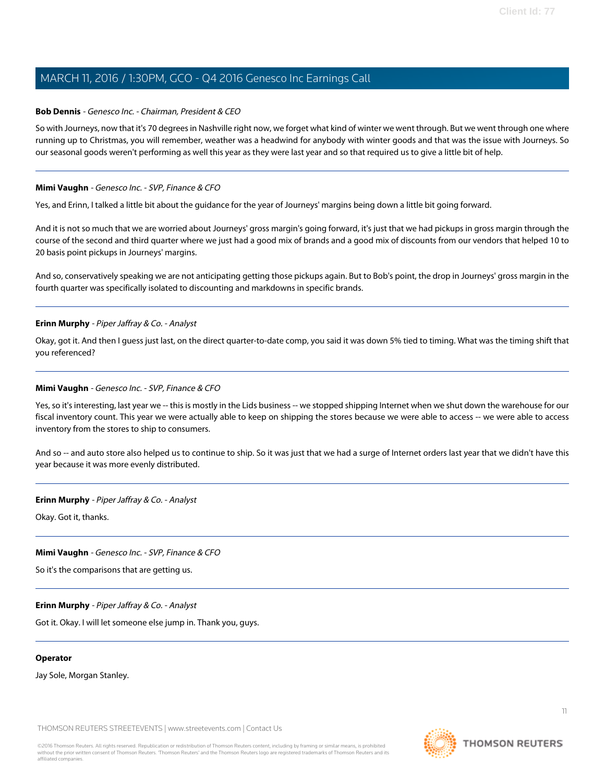#### **Bob Dennis** - Genesco Inc. - Chairman, President & CEO

So with Journeys, now that it's 70 degrees in Nashville right now, we forget what kind of winter we went through. But we went through one where running up to Christmas, you will remember, weather was a headwind for anybody with winter goods and that was the issue with Journeys. So our seasonal goods weren't performing as well this year as they were last year and so that required us to give a little bit of help.

#### **Mimi Vaughn** - Genesco Inc. - SVP, Finance & CFO

Yes, and Erinn, I talked a little bit about the guidance for the year of Journeys' margins being down a little bit going forward.

And it is not so much that we are worried about Journeys' gross margin's going forward, it's just that we had pickups in gross margin through the course of the second and third quarter where we just had a good mix of brands and a good mix of discounts from our vendors that helped 10 to 20 basis point pickups in Journeys' margins.

And so, conservatively speaking we are not anticipating getting those pickups again. But to Bob's point, the drop in Journeys' gross margin in the fourth quarter was specifically isolated to discounting and markdowns in specific brands.

#### **Erinn Murphy** - Piper Jaffray & Co. - Analyst

Okay, got it. And then I guess just last, on the direct quarter-to-date comp, you said it was down 5% tied to timing. What was the timing shift that you referenced?

#### **Mimi Vaughn** - Genesco Inc. - SVP, Finance & CFO

Yes, so it's interesting, last year we -- this is mostly in the Lids business -- we stopped shipping Internet when we shut down the warehouse for our fiscal inventory count. This year we were actually able to keep on shipping the stores because we were able to access -- we were able to access inventory from the stores to ship to consumers.

And so -- and auto store also helped us to continue to ship. So it was just that we had a surge of Internet orders last year that we didn't have this year because it was more evenly distributed.

#### **Erinn Murphy** - Piper Jaffray & Co. - Analyst

Okay. Got it, thanks.

#### **Mimi Vaughn** - Genesco Inc. - SVP, Finance & CFO

So it's the comparisons that are getting us.

#### **Erinn Murphy** - Piper Jaffray & Co. - Analyst

Got it. Okay. I will let someone else jump in. Thank you, guys.

#### **Operator**

Jay Sole, Morgan Stanley.

THOMSON REUTERS STREETEVENTS | [www.streetevents.com](http://www.streetevents.com) | [Contact Us](http://www010.streetevents.com/contact.asp)

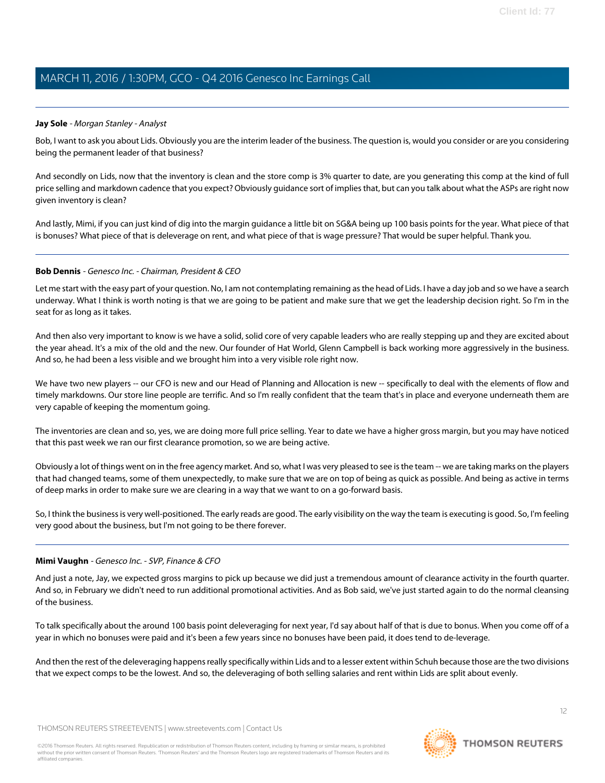#### <span id="page-11-0"></span>**Jay Sole** - Morgan Stanley - Analyst

Bob, I want to ask you about Lids. Obviously you are the interim leader of the business. The question is, would you consider or are you considering being the permanent leader of that business?

And secondly on Lids, now that the inventory is clean and the store comp is 3% quarter to date, are you generating this comp at the kind of full price selling and markdown cadence that you expect? Obviously guidance sort of implies that, but can you talk about what the ASPs are right now given inventory is clean?

And lastly, Mimi, if you can just kind of dig into the margin guidance a little bit on SG&A being up 100 basis points for the year. What piece of that is bonuses? What piece of that is deleverage on rent, and what piece of that is wage pressure? That would be super helpful. Thank you.

#### **Bob Dennis** - Genesco Inc. - Chairman, President & CEO

Let me start with the easy part of your question. No, I am not contemplating remaining as the head of Lids. I have a day job and so we have a search underway. What I think is worth noting is that we are going to be patient and make sure that we get the leadership decision right. So I'm in the seat for as long as it takes.

And then also very important to know is we have a solid, solid core of very capable leaders who are really stepping up and they are excited about the year ahead. It's a mix of the old and the new. Our founder of Hat World, Glenn Campbell is back working more aggressively in the business. And so, he had been a less visible and we brought him into a very visible role right now.

We have two new players -- our CFO is new and our Head of Planning and Allocation is new -- specifically to deal with the elements of flow and timely markdowns. Our store line people are terrific. And so I'm really confident that the team that's in place and everyone underneath them are very capable of keeping the momentum going.

The inventories are clean and so, yes, we are doing more full price selling. Year to date we have a higher gross margin, but you may have noticed that this past week we ran our first clearance promotion, so we are being active.

Obviously a lot of things went on in the free agency market. And so, what I was very pleased to see is the team -- we are taking marks on the players that had changed teams, some of them unexpectedly, to make sure that we are on top of being as quick as possible. And being as active in terms of deep marks in order to make sure we are clearing in a way that we want to on a go-forward basis.

So, I think the business is very well-positioned. The early reads are good. The early visibility on the way the team is executing is good. So, I'm feeling very good about the business, but I'm not going to be there forever.

#### **Mimi Vaughn** - Genesco Inc. - SVP, Finance & CFO

And just a note, Jay, we expected gross margins to pick up because we did just a tremendous amount of clearance activity in the fourth quarter. And so, in February we didn't need to run additional promotional activities. And as Bob said, we've just started again to do the normal cleansing of the business.

To talk specifically about the around 100 basis point deleveraging for next year, I'd say about half of that is due to bonus. When you come off of a year in which no bonuses were paid and it's been a few years since no bonuses have been paid, it does tend to de-leverage.

And then the rest of the deleveraging happens really specifically within Lids and to a lesser extent within Schuh because those are the two divisions that we expect comps to be the lowest. And so, the deleveraging of both selling salaries and rent within Lids are split about evenly.

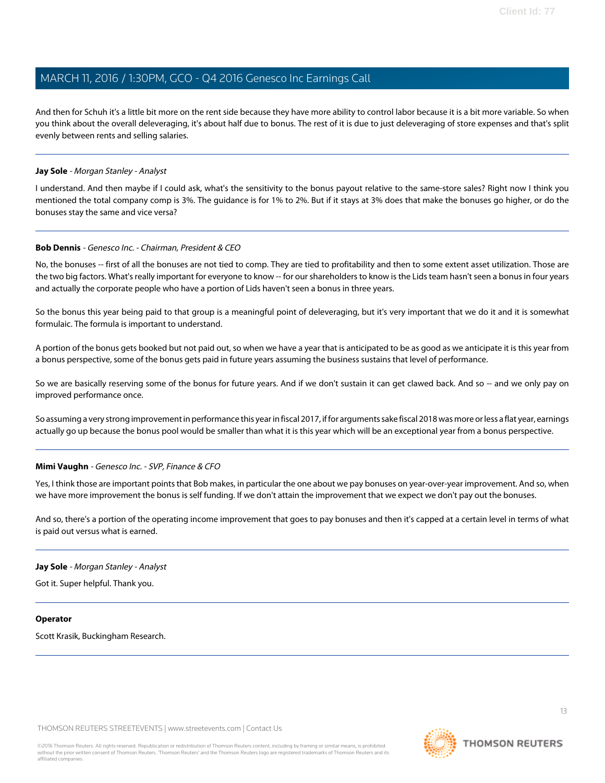And then for Schuh it's a little bit more on the rent side because they have more ability to control labor because it is a bit more variable. So when you think about the overall deleveraging, it's about half due to bonus. The rest of it is due to just deleveraging of store expenses and that's split evenly between rents and selling salaries.

#### **Jay Sole** - Morgan Stanley - Analyst

I understand. And then maybe if I could ask, what's the sensitivity to the bonus payout relative to the same-store sales? Right now I think you mentioned the total company comp is 3%. The guidance is for 1% to 2%. But if it stays at 3% does that make the bonuses go higher, or do the bonuses stay the same and vice versa?

#### **Bob Dennis** - Genesco Inc. - Chairman, President & CEO

No, the bonuses -- first of all the bonuses are not tied to comp. They are tied to profitability and then to some extent asset utilization. Those are the two big factors. What's really important for everyone to know -- for our shareholders to know is the Lids team hasn't seen a bonus in four years and actually the corporate people who have a portion of Lids haven't seen a bonus in three years.

So the bonus this year being paid to that group is a meaningful point of deleveraging, but it's very important that we do it and it is somewhat formulaic. The formula is important to understand.

A portion of the bonus gets booked but not paid out, so when we have a year that is anticipated to be as good as we anticipate it is this year from a bonus perspective, some of the bonus gets paid in future years assuming the business sustains that level of performance.

So we are basically reserving some of the bonus for future years. And if we don't sustain it can get clawed back. And so -- and we only pay on improved performance once.

So assuming a very strong improvement in performance this year in fiscal 2017, if for arguments sake fiscal 2018 was more or less a flat year, earnings actually go up because the bonus pool would be smaller than what it is this year which will be an exceptional year from a bonus perspective.

#### **Mimi Vaughn** - Genesco Inc. - SVP, Finance & CFO

Yes, I think those are important points that Bob makes, in particular the one about we pay bonuses on year-over-year improvement. And so, when we have more improvement the bonus is self funding. If we don't attain the improvement that we expect we don't pay out the bonuses.

And so, there's a portion of the operating income improvement that goes to pay bonuses and then it's capped at a certain level in terms of what is paid out versus what is earned.

#### **Jay Sole** - Morgan Stanley - Analyst

Got it. Super helpful. Thank you.

#### **Operator**

Scott Krasik, Buckingham Research.

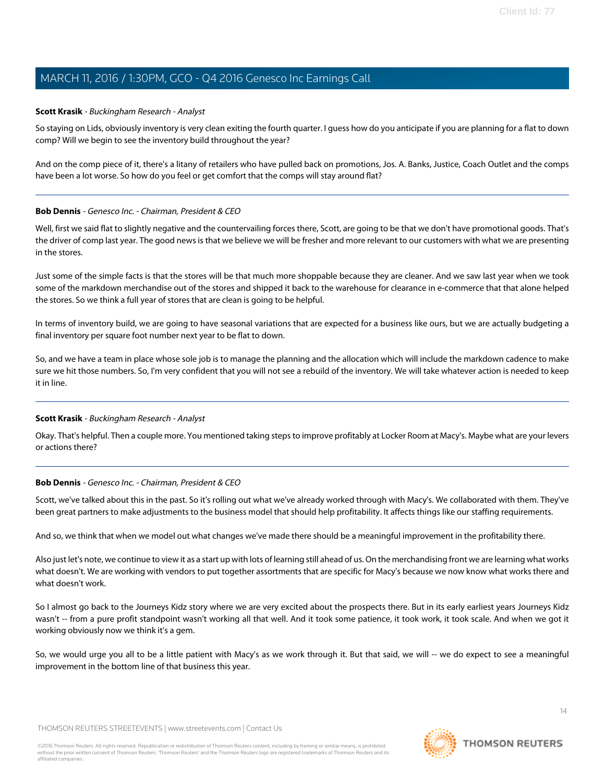#### <span id="page-13-0"></span>**Scott Krasik** - Buckingham Research - Analyst

So staying on Lids, obviously inventory is very clean exiting the fourth quarter. I guess how do you anticipate if you are planning for a flat to down comp? Will we begin to see the inventory build throughout the year?

And on the comp piece of it, there's a litany of retailers who have pulled back on promotions, Jos. A. Banks, Justice, Coach Outlet and the comps have been a lot worse. So how do you feel or get comfort that the comps will stay around flat?

#### **Bob Dennis** - Genesco Inc. - Chairman, President & CEO

Well, first we said flat to slightly negative and the countervailing forces there, Scott, are going to be that we don't have promotional goods. That's the driver of comp last year. The good news is that we believe we will be fresher and more relevant to our customers with what we are presenting in the stores.

Just some of the simple facts is that the stores will be that much more shoppable because they are cleaner. And we saw last year when we took some of the markdown merchandise out of the stores and shipped it back to the warehouse for clearance in e-commerce that that alone helped the stores. So we think a full year of stores that are clean is going to be helpful.

In terms of inventory build, we are going to have seasonal variations that are expected for a business like ours, but we are actually budgeting a final inventory per square foot number next year to be flat to down.

So, and we have a team in place whose sole job is to manage the planning and the allocation which will include the markdown cadence to make sure we hit those numbers. So, I'm very confident that you will not see a rebuild of the inventory. We will take whatever action is needed to keep it in line.

### **Scott Krasik** - Buckingham Research - Analyst

Okay. That's helpful. Then a couple more. You mentioned taking steps to improve profitably at Locker Room at Macy's. Maybe what are your levers or actions there?

### **Bob Dennis** - Genesco Inc. - Chairman, President & CEO

Scott, we've talked about this in the past. So it's rolling out what we've already worked through with Macy's. We collaborated with them. They've been great partners to make adjustments to the business model that should help profitability. It affects things like our staffing requirements.

And so, we think that when we model out what changes we've made there should be a meaningful improvement in the profitability there.

Also just let's note, we continue to view it as a start up with lots of learning still ahead of us. On the merchandising front we are learning what works what doesn't. We are working with vendors to put together assortments that are specific for Macy's because we now know what works there and what doesn't work.

So I almost go back to the Journeys Kidz story where we are very excited about the prospects there. But in its early earliest years Journeys Kidz wasn't -- from a pure profit standpoint wasn't working all that well. And it took some patience, it took work, it took scale. And when we got it working obviously now we think it's a gem.

So, we would urge you all to be a little patient with Macy's as we work through it. But that said, we will -- we do expect to see a meaningful improvement in the bottom line of that business this year.

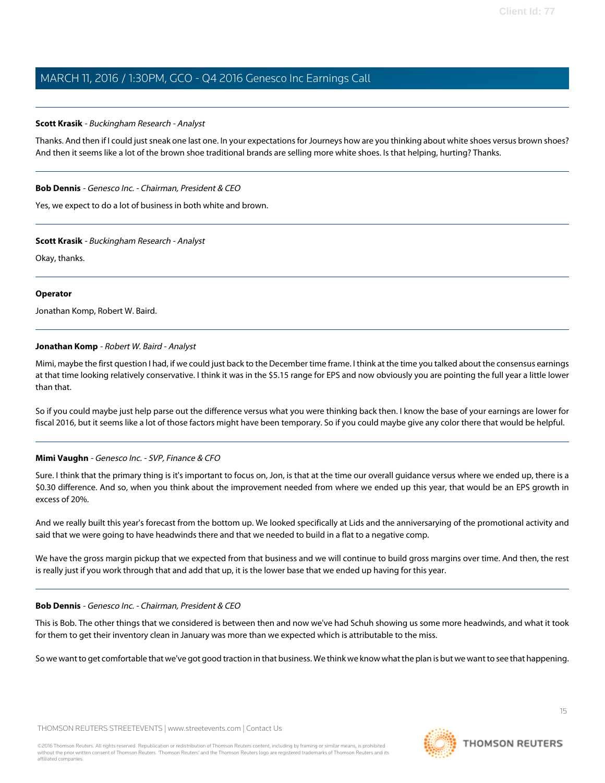#### **Scott Krasik** - Buckingham Research - Analyst

Thanks. And then if I could just sneak one last one. In your expectations for Journeys how are you thinking about white shoes versus brown shoes? And then it seems like a lot of the brown shoe traditional brands are selling more white shoes. Is that helping, hurting? Thanks.

#### **Bob Dennis** - Genesco Inc. - Chairman, President & CEO

Yes, we expect to do a lot of business in both white and brown.

#### **Scott Krasik** - Buckingham Research - Analyst

Okay, thanks.

#### **Operator**

<span id="page-14-0"></span>Jonathan Komp, Robert W. Baird.

#### **Jonathan Komp** - Robert W. Baird - Analyst

Mimi, maybe the first question I had, if we could just back to the December time frame. I think at the time you talked about the consensus earnings at that time looking relatively conservative. I think it was in the \$5.15 range for EPS and now obviously you are pointing the full year a little lower than that.

So if you could maybe just help parse out the difference versus what you were thinking back then. I know the base of your earnings are lower for fiscal 2016, but it seems like a lot of those factors might have been temporary. So if you could maybe give any color there that would be helpful.

#### **Mimi Vaughn** - Genesco Inc. - SVP, Finance & CFO

Sure. I think that the primary thing is it's important to focus on, Jon, is that at the time our overall guidance versus where we ended up, there is a \$0.30 difference. And so, when you think about the improvement needed from where we ended up this year, that would be an EPS growth in excess of 20%.

And we really built this year's forecast from the bottom up. We looked specifically at Lids and the anniversarying of the promotional activity and said that we were going to have headwinds there and that we needed to build in a flat to a negative comp.

We have the gross margin pickup that we expected from that business and we will continue to build gross margins over time. And then, the rest is really just if you work through that and add that up, it is the lower base that we ended up having for this year.

#### **Bob Dennis** - Genesco Inc. - Chairman, President & CEO

This is Bob. The other things that we considered is between then and now we've had Schuh showing us some more headwinds, and what it took for them to get their inventory clean in January was more than we expected which is attributable to the miss.

So we want to get comfortable that we've got good traction in that business. We think we know what the plan is but we want to see that happening.

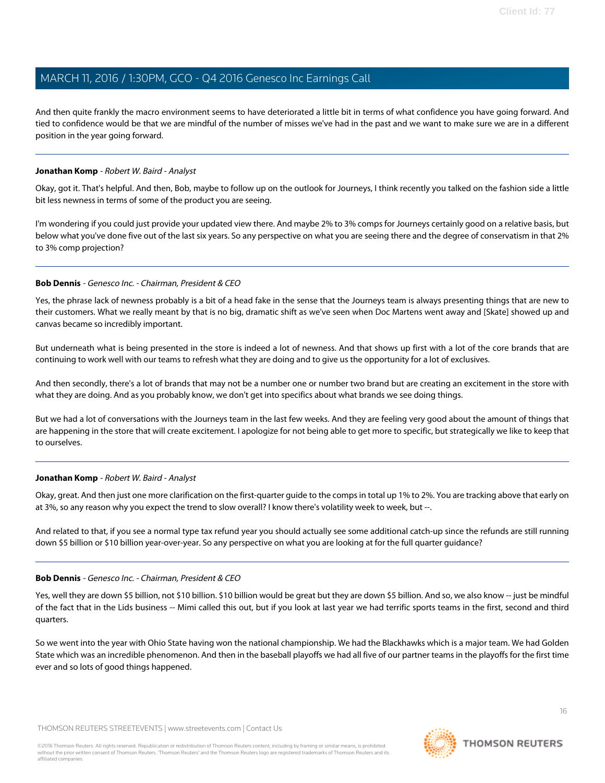And then quite frankly the macro environment seems to have deteriorated a little bit in terms of what confidence you have going forward. And tied to confidence would be that we are mindful of the number of misses we've had in the past and we want to make sure we are in a different position in the year going forward.

#### **Jonathan Komp** - Robert W. Baird - Analyst

Okay, got it. That's helpful. And then, Bob, maybe to follow up on the outlook for Journeys, I think recently you talked on the fashion side a little bit less newness in terms of some of the product you are seeing.

I'm wondering if you could just provide your updated view there. And maybe 2% to 3% comps for Journeys certainly good on a relative basis, but below what you've done five out of the last six years. So any perspective on what you are seeing there and the degree of conservatism in that 2% to 3% comp projection?

#### **Bob Dennis** - Genesco Inc. - Chairman, President & CEO

Yes, the phrase lack of newness probably is a bit of a head fake in the sense that the Journeys team is always presenting things that are new to their customers. What we really meant by that is no big, dramatic shift as we've seen when Doc Martens went away and [Skate] showed up and canvas became so incredibly important.

But underneath what is being presented in the store is indeed a lot of newness. And that shows up first with a lot of the core brands that are continuing to work well with our teams to refresh what they are doing and to give us the opportunity for a lot of exclusives.

And then secondly, there's a lot of brands that may not be a number one or number two brand but are creating an excitement in the store with what they are doing. And as you probably know, we don't get into specifics about what brands we see doing things.

But we had a lot of conversations with the Journeys team in the last few weeks. And they are feeling very good about the amount of things that are happening in the store that will create excitement. I apologize for not being able to get more to specific, but strategically we like to keep that to ourselves.

### **Jonathan Komp** - Robert W. Baird - Analyst

Okay, great. And then just one more clarification on the first-quarter guide to the comps in total up 1% to 2%. You are tracking above that early on at 3%, so any reason why you expect the trend to slow overall? I know there's volatility week to week, but --.

And related to that, if you see a normal type tax refund year you should actually see some additional catch-up since the refunds are still running down \$5 billion or \$10 billion year-over-year. So any perspective on what you are looking at for the full quarter guidance?

#### **Bob Dennis** - Genesco Inc. - Chairman, President & CEO

Yes, well they are down \$5 billion, not \$10 billion. \$10 billion would be great but they are down \$5 billion. And so, we also know -- just be mindful of the fact that in the Lids business -- Mimi called this out, but if you look at last year we had terrific sports teams in the first, second and third quarters.

So we went into the year with Ohio State having won the national championship. We had the Blackhawks which is a major team. We had Golden State which was an incredible phenomenon. And then in the baseball playoffs we had all five of our partner teams in the playoffs for the first time ever and so lots of good things happened.

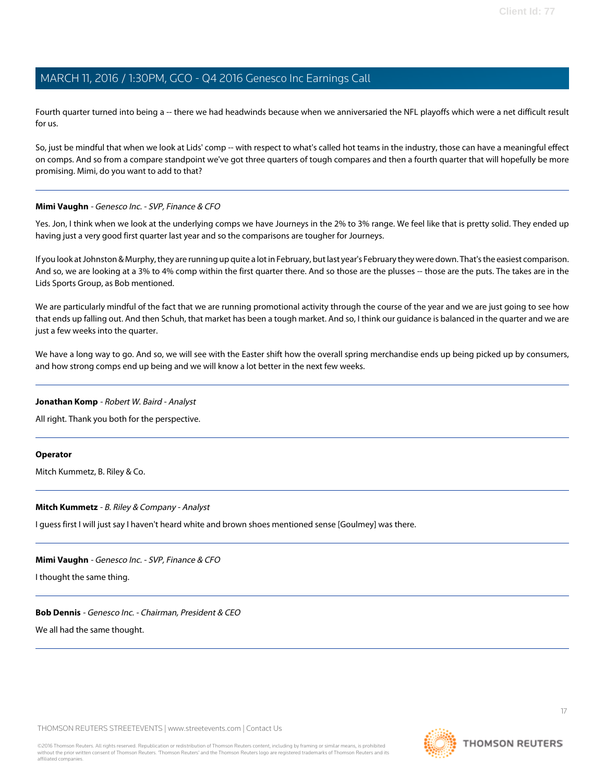Fourth quarter turned into being a -- there we had headwinds because when we anniversaried the NFL playoffs which were a net difficult result for us.

So, just be mindful that when we look at Lids' comp -- with respect to what's called hot teams in the industry, those can have a meaningful effect on comps. And so from a compare standpoint we've got three quarters of tough compares and then a fourth quarter that will hopefully be more promising. Mimi, do you want to add to that?

#### **Mimi Vaughn** - Genesco Inc. - SVP, Finance & CFO

Yes. Jon, I think when we look at the underlying comps we have Journeys in the 2% to 3% range. We feel like that is pretty solid. They ended up having just a very good first quarter last year and so the comparisons are tougher for Journeys.

If you look at Johnston & Murphy, they are running up quite a lot in February, but last year's February they were down. That's the easiest comparison. And so, we are looking at a 3% to 4% comp within the first quarter there. And so those are the plusses -- those are the puts. The takes are in the Lids Sports Group, as Bob mentioned.

We are particularly mindful of the fact that we are running promotional activity through the course of the year and we are just going to see how that ends up falling out. And then Schuh, that market has been a tough market. And so, I think our guidance is balanced in the quarter and we are just a few weeks into the quarter.

We have a long way to go. And so, we will see with the Easter shift how the overall spring merchandise ends up being picked up by consumers, and how strong comps end up being and we will know a lot better in the next few weeks.

#### **Jonathan Komp** - Robert W. Baird - Analyst

All right. Thank you both for the perspective.

#### <span id="page-16-0"></span>**Operator**

Mitch Kummetz, B. Riley & Co.

#### **Mitch Kummetz** - B. Riley & Company - Analyst

I guess first I will just say I haven't heard white and brown shoes mentioned sense [Goulmey] was there.

#### **Mimi Vaughn** - Genesco Inc. - SVP, Finance & CFO

I thought the same thing.

**Bob Dennis** - Genesco Inc. - Chairman, President & CEO

We all had the same thought.

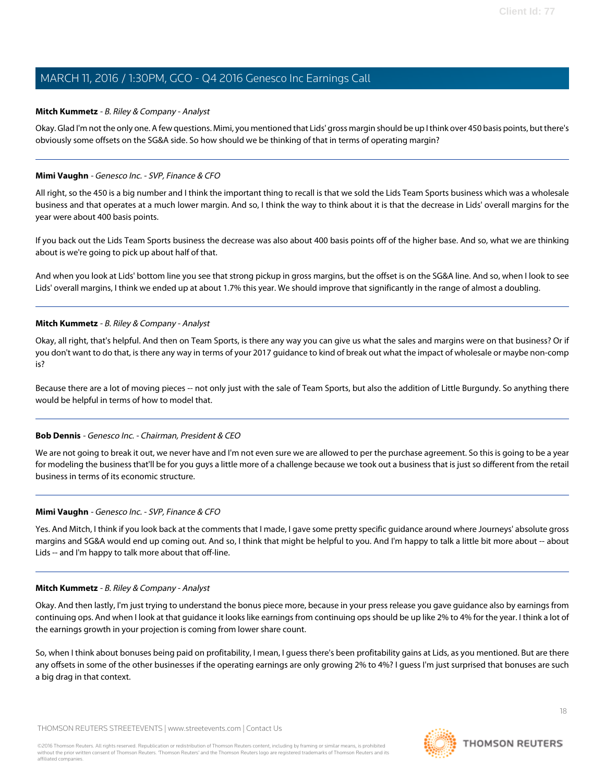#### **Mitch Kummetz** - B. Riley & Company - Analyst

Okay. Glad I'm not the only one. A few questions. Mimi, you mentioned that Lids' gross margin should be up I think over 450 basis points, but there's obviously some offsets on the SG&A side. So how should we be thinking of that in terms of operating margin?

#### **Mimi Vaughn** - Genesco Inc. - SVP, Finance & CFO

All right, so the 450 is a big number and I think the important thing to recall is that we sold the Lids Team Sports business which was a wholesale business and that operates at a much lower margin. And so, I think the way to think about it is that the decrease in Lids' overall margins for the year were about 400 basis points.

If you back out the Lids Team Sports business the decrease was also about 400 basis points off of the higher base. And so, what we are thinking about is we're going to pick up about half of that.

And when you look at Lids' bottom line you see that strong pickup in gross margins, but the offset is on the SG&A line. And so, when I look to see Lids' overall margins, I think we ended up at about 1.7% this year. We should improve that significantly in the range of almost a doubling.

#### **Mitch Kummetz** - B. Riley & Company - Analyst

Okay, all right, that's helpful. And then on Team Sports, is there any way you can give us what the sales and margins were on that business? Or if you don't want to do that, is there any way in terms of your 2017 guidance to kind of break out what the impact of wholesale or maybe non-comp is?

Because there are a lot of moving pieces -- not only just with the sale of Team Sports, but also the addition of Little Burgundy. So anything there would be helpful in terms of how to model that.

### **Bob Dennis** - Genesco Inc. - Chairman, President & CEO

We are not going to break it out, we never have and I'm not even sure we are allowed to per the purchase agreement. So this is going to be a year for modeling the business that'll be for you guys a little more of a challenge because we took out a business that is just so different from the retail business in terms of its economic structure.

#### **Mimi Vaughn** - Genesco Inc. - SVP, Finance & CFO

Yes. And Mitch, I think if you look back at the comments that I made, I gave some pretty specific guidance around where Journeys' absolute gross margins and SG&A would end up coming out. And so, I think that might be helpful to you. And I'm happy to talk a little bit more about -- about Lids -- and I'm happy to talk more about that off-line.

#### **Mitch Kummetz** - B. Riley & Company - Analyst

Okay. And then lastly, I'm just trying to understand the bonus piece more, because in your press release you gave guidance also by earnings from continuing ops. And when I look at that guidance it looks like earnings from continuing ops should be up like 2% to 4% for the year. I think a lot of the earnings growth in your projection is coming from lower share count.

So, when I think about bonuses being paid on profitability, I mean, I guess there's been profitability gains at Lids, as you mentioned. But are there any offsets in some of the other businesses if the operating earnings are only growing 2% to 4%? I guess I'm just surprised that bonuses are such a big drag in that context.

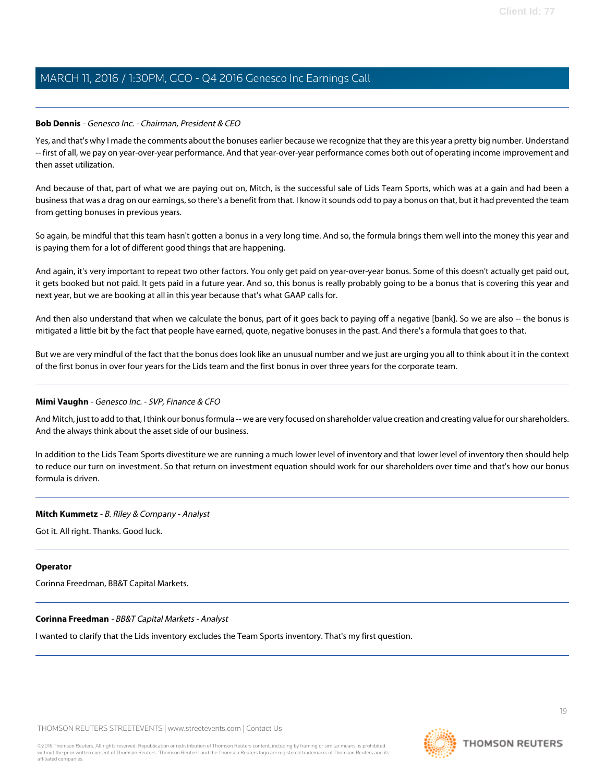#### **Bob Dennis** - Genesco Inc. - Chairman, President & CEO

Yes, and that's why I made the comments about the bonuses earlier because we recognize that they are this year a pretty big number. Understand -- first of all, we pay on year-over-year performance. And that year-over-year performance comes both out of operating income improvement and then asset utilization.

And because of that, part of what we are paying out on, Mitch, is the successful sale of Lids Team Sports, which was at a gain and had been a business that was a drag on our earnings, so there's a benefit from that. I know it sounds odd to pay a bonus on that, but it had prevented the team from getting bonuses in previous years.

So again, be mindful that this team hasn't gotten a bonus in a very long time. And so, the formula brings them well into the money this year and is paying them for a lot of different good things that are happening.

And again, it's very important to repeat two other factors. You only get paid on year-over-year bonus. Some of this doesn't actually get paid out, it gets booked but not paid. It gets paid in a future year. And so, this bonus is really probably going to be a bonus that is covering this year and next year, but we are booking at all in this year because that's what GAAP calls for.

And then also understand that when we calculate the bonus, part of it goes back to paying off a negative [bank]. So we are also -- the bonus is mitigated a little bit by the fact that people have earned, quote, negative bonuses in the past. And there's a formula that goes to that.

But we are very mindful of the fact that the bonus does look like an unusual number and we just are urging you all to think about it in the context of the first bonus in over four years for the Lids team and the first bonus in over three years for the corporate team.

#### **Mimi Vaughn** - Genesco Inc. - SVP, Finance & CFO

And Mitch, just to add to that, I think our bonus formula -- we are very focused on shareholder value creation and creating value for our shareholders. And the always think about the asset side of our business.

In addition to the Lids Team Sports divestiture we are running a much lower level of inventory and that lower level of inventory then should help to reduce our turn on investment. So that return on investment equation should work for our shareholders over time and that's how our bonus formula is driven.

#### **Mitch Kummetz** - B. Riley & Company - Analyst

Got it. All right. Thanks. Good luck.

#### <span id="page-18-0"></span>**Operator**

Corinna Freedman, BB&T Capital Markets.

#### **Corinna Freedman** - BB&T Capital Markets - Analyst

I wanted to clarify that the Lids inventory excludes the Team Sports inventory. That's my first question.

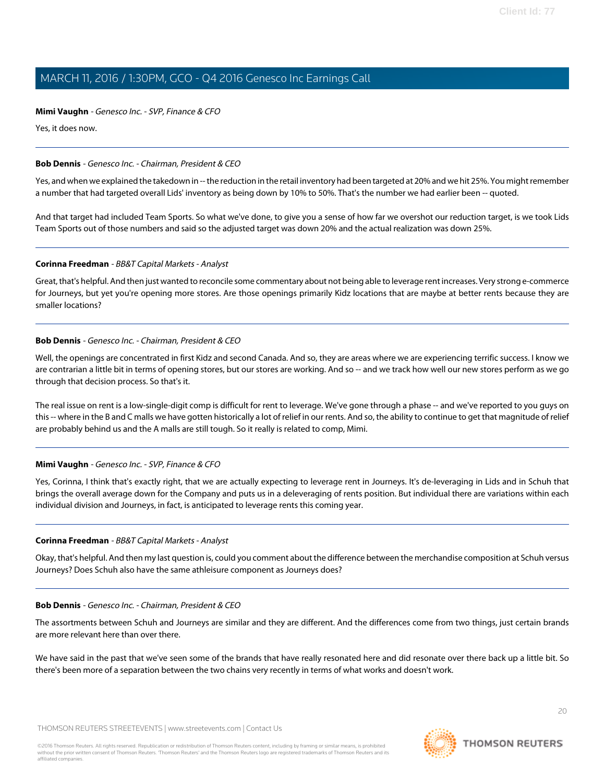#### **Mimi Vaughn** - Genesco Inc. - SVP, Finance & CFO

Yes, it does now.

#### **Bob Dennis** - Genesco Inc. - Chairman, President & CEO

Yes, and when we explained the takedown in -- the reduction in the retail inventory had been targeted at 20% and we hit 25%. You might remember a number that had targeted overall Lids' inventory as being down by 10% to 50%. That's the number we had earlier been -- quoted.

And that target had included Team Sports. So what we've done, to give you a sense of how far we overshot our reduction target, is we took Lids Team Sports out of those numbers and said so the adjusted target was down 20% and the actual realization was down 25%.

#### **Corinna Freedman** - BB&T Capital Markets - Analyst

Great, that's helpful. And then just wanted to reconcile some commentary about not being able to leverage rent increases. Very strong e-commerce for Journeys, but yet you're opening more stores. Are those openings primarily Kidz locations that are maybe at better rents because they are smaller locations?

#### **Bob Dennis** - Genesco Inc. - Chairman, President & CEO

Well, the openings are concentrated in first Kidz and second Canada. And so, they are areas where we are experiencing terrific success. I know we are contrarian a little bit in terms of opening stores, but our stores are working. And so -- and we track how well our new stores perform as we go through that decision process. So that's it.

The real issue on rent is a low-single-digit comp is difficult for rent to leverage. We've gone through a phase -- and we've reported to you guys on this -- where in the B and C malls we have gotten historically a lot of relief in our rents. And so, the ability to continue to get that magnitude of relief are probably behind us and the A malls are still tough. So it really is related to comp, Mimi.

### **Mimi Vaughn** - Genesco Inc. - SVP, Finance & CFO

Yes, Corinna, I think that's exactly right, that we are actually expecting to leverage rent in Journeys. It's de-leveraging in Lids and in Schuh that brings the overall average down for the Company and puts us in a deleveraging of rents position. But individual there are variations within each individual division and Journeys, in fact, is anticipated to leverage rents this coming year.

#### **Corinna Freedman** - BB&T Capital Markets - Analyst

Okay, that's helpful. And then my last question is, could you comment about the difference between the merchandise composition at Schuh versus Journeys? Does Schuh also have the same athleisure component as Journeys does?

#### **Bob Dennis** - Genesco Inc. - Chairman, President & CEO

The assortments between Schuh and Journeys are similar and they are different. And the differences come from two things, just certain brands are more relevant here than over there.

We have said in the past that we've seen some of the brands that have really resonated here and did resonate over there back up a little bit. So there's been more of a separation between the two chains very recently in terms of what works and doesn't work.

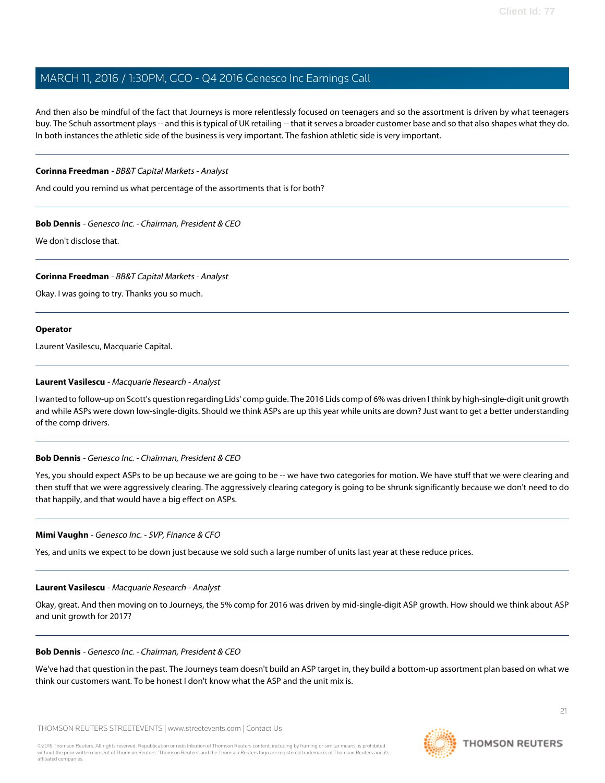And then also be mindful of the fact that Journeys is more relentlessly focused on teenagers and so the assortment is driven by what teenagers buy. The Schuh assortment plays -- and this is typical of UK retailing -- that it serves a broader customer base and so that also shapes what they do. In both instances the athletic side of the business is very important. The fashion athletic side is very important.

#### **Corinna Freedman** - BB&T Capital Markets - Analyst

And could you remind us what percentage of the assortments that is for both?

**Bob Dennis** - Genesco Inc. - Chairman, President & CEO

We don't disclose that.

#### **Corinna Freedman** - BB&T Capital Markets - Analyst

Okay. I was going to try. Thanks you so much.

#### **Operator**

<span id="page-20-0"></span>Laurent Vasilescu, Macquarie Capital.

#### **Laurent Vasilescu** - Macquarie Research - Analyst

I wanted to follow-up on Scott's question regarding Lids' comp guide. The 2016 Lids comp of 6% was driven I think by high-single-digit unit growth and while ASPs were down low-single-digits. Should we think ASPs are up this year while units are down? Just want to get a better understanding of the comp drivers.

#### **Bob Dennis** - Genesco Inc. - Chairman, President & CEO

Yes, you should expect ASPs to be up because we are going to be -- we have two categories for motion. We have stuff that we were clearing and then stuff that we were aggressively clearing. The aggressively clearing category is going to be shrunk significantly because we don't need to do that happily, and that would have a big effect on ASPs.

#### **Mimi Vaughn** - Genesco Inc. - SVP, Finance & CFO

Yes, and units we expect to be down just because we sold such a large number of units last year at these reduce prices.

#### **Laurent Vasilescu** - Macquarie Research - Analyst

Okay, great. And then moving on to Journeys, the 5% comp for 2016 was driven by mid-single-digit ASP growth. How should we think about ASP and unit growth for 2017?

#### **Bob Dennis** - Genesco Inc. - Chairman, President & CEO

We've had that question in the past. The Journeys team doesn't build an ASP target in, they build a bottom-up assortment plan based on what we think our customers want. To be honest I don't know what the ASP and the unit mix is.

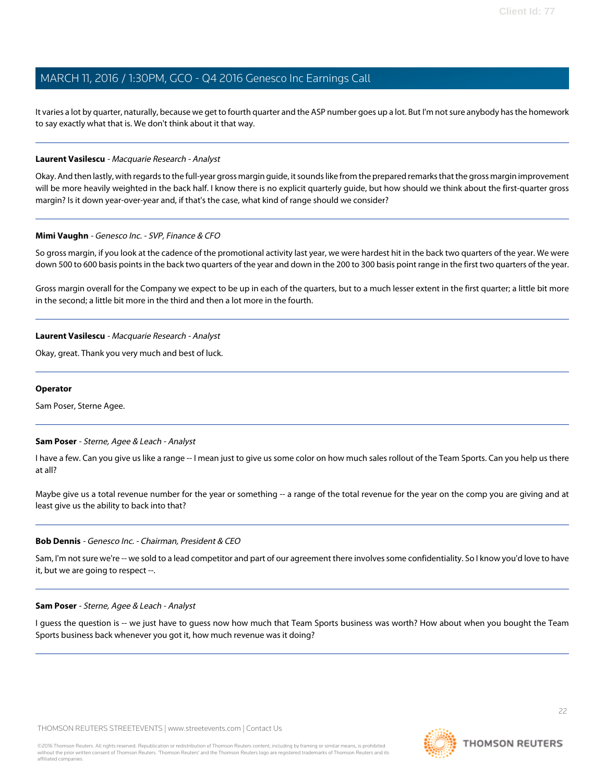It varies a lot by quarter, naturally, because we get to fourth quarter and the ASP number goes up a lot. But I'm not sure anybody has the homework to say exactly what that is. We don't think about it that way.

#### **Laurent Vasilescu** - Macquarie Research - Analyst

Okay. And then lastly, with regards to the full-year gross margin guide, it sounds like from the prepared remarks that the gross margin improvement will be more heavily weighted in the back half. I know there is no explicit quarterly guide, but how should we think about the first-quarter gross margin? Is it down year-over-year and, if that's the case, what kind of range should we consider?

#### **Mimi Vaughn** - Genesco Inc. - SVP, Finance & CFO

So gross margin, if you look at the cadence of the promotional activity last year, we were hardest hit in the back two quarters of the year. We were down 500 to 600 basis points in the back two quarters of the year and down in the 200 to 300 basis point range in the first two quarters of the year.

Gross margin overall for the Company we expect to be up in each of the quarters, but to a much lesser extent in the first quarter; a little bit more in the second; a little bit more in the third and then a lot more in the fourth.

#### **Laurent Vasilescu** - Macquarie Research - Analyst

Okay, great. Thank you very much and best of luck.

#### <span id="page-21-0"></span>**Operator**

Sam Poser, Sterne Agee.

#### **Sam Poser** - Sterne, Agee & Leach - Analyst

I have a few. Can you give us like a range -- I mean just to give us some color on how much sales rollout of the Team Sports. Can you help us there at all?

Maybe give us a total revenue number for the year or something -- a range of the total revenue for the year on the comp you are giving and at least give us the ability to back into that?

#### **Bob Dennis** - Genesco Inc. - Chairman, President & CEO

Sam, I'm not sure we're -- we sold to a lead competitor and part of our agreement there involves some confidentiality. So I know you'd love to have it, but we are going to respect --.

#### **Sam Poser** - Sterne, Agee & Leach - Analyst

I guess the question is -- we just have to guess now how much that Team Sports business was worth? How about when you bought the Team Sports business back whenever you got it, how much revenue was it doing?

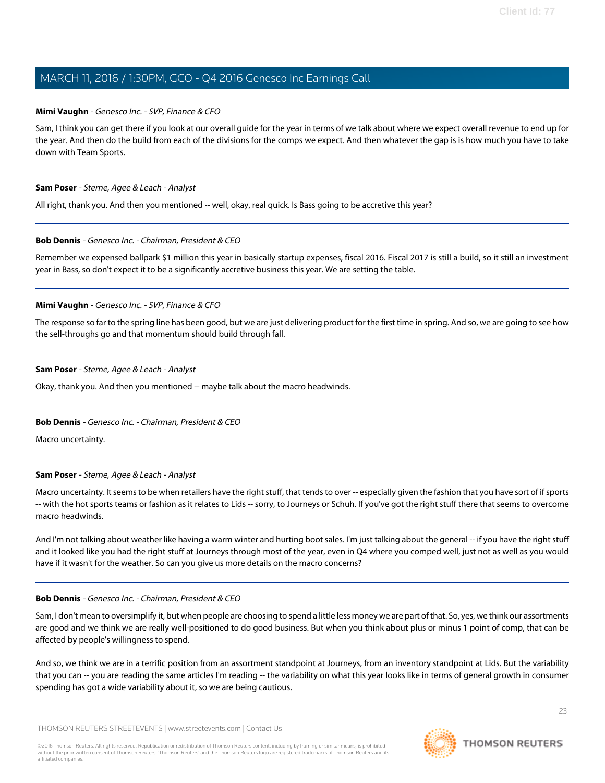#### **Mimi Vaughn** - Genesco Inc. - SVP, Finance & CFO

Sam, I think you can get there if you look at our overall guide for the year in terms of we talk about where we expect overall revenue to end up for the year. And then do the build from each of the divisions for the comps we expect. And then whatever the gap is is how much you have to take down with Team Sports.

#### **Sam Poser** - Sterne, Agee & Leach - Analyst

All right, thank you. And then you mentioned -- well, okay, real quick. Is Bass going to be accretive this year?

#### **Bob Dennis** - Genesco Inc. - Chairman, President & CEO

Remember we expensed ballpark \$1 million this year in basically startup expenses, fiscal 2016. Fiscal 2017 is still a build, so it still an investment year in Bass, so don't expect it to be a significantly accretive business this year. We are setting the table.

#### **Mimi Vaughn** - Genesco Inc. - SVP, Finance & CFO

The response so far to the spring line has been good, but we are just delivering product for the first time in spring. And so, we are going to see how the sell-throughs go and that momentum should build through fall.

#### **Sam Poser** - Sterne, Agee & Leach - Analyst

Okay, thank you. And then you mentioned -- maybe talk about the macro headwinds.

### **Bob Dennis** - Genesco Inc. - Chairman, President & CEO

Macro uncertainty.

#### **Sam Poser** - Sterne, Agee & Leach - Analyst

Macro uncertainty. It seems to be when retailers have the right stuff, that tends to over -- especially given the fashion that you have sort of if sports -- with the hot sports teams or fashion as it relates to Lids -- sorry, to Journeys or Schuh. If you've got the right stuff there that seems to overcome macro headwinds.

And I'm not talking about weather like having a warm winter and hurting boot sales. I'm just talking about the general -- if you have the right stuff and it looked like you had the right stuff at Journeys through most of the year, even in Q4 where you comped well, just not as well as you would have if it wasn't for the weather. So can you give us more details on the macro concerns?

#### **Bob Dennis** - Genesco Inc. - Chairman, President & CEO

Sam, I don't mean to oversimplify it, but when people are choosing to spend a little less money we are part of that. So, yes, we think our assortments are good and we think we are really well-positioned to do good business. But when you think about plus or minus 1 point of comp, that can be affected by people's willingness to spend.

And so, we think we are in a terrific position from an assortment standpoint at Journeys, from an inventory standpoint at Lids. But the variability that you can -- you are reading the same articles I'm reading -- the variability on what this year looks like in terms of general growth in consumer spending has got a wide variability about it, so we are being cautious.

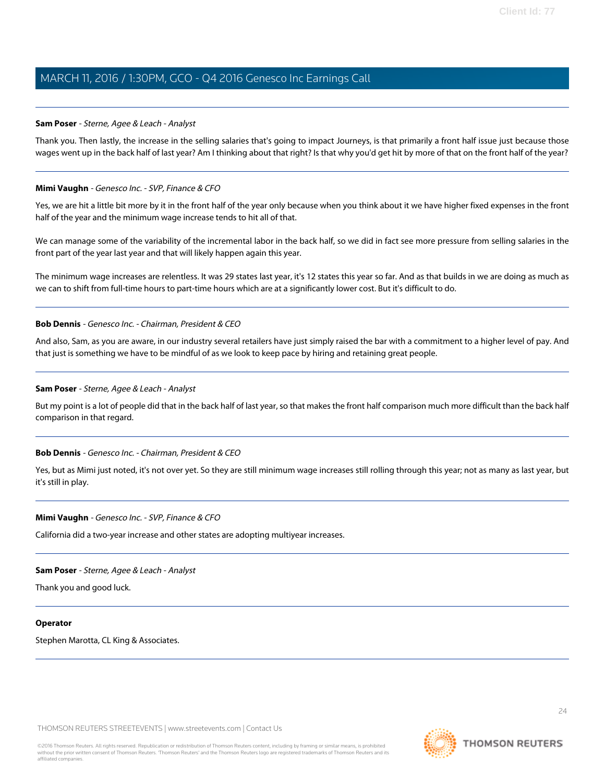#### **Sam Poser** - Sterne, Agee & Leach - Analyst

Thank you. Then lastly, the increase in the selling salaries that's going to impact Journeys, is that primarily a front half issue just because those wages went up in the back half of last year? Am I thinking about that right? Is that why you'd get hit by more of that on the front half of the year?

#### **Mimi Vaughn** - Genesco Inc. - SVP, Finance & CFO

Yes, we are hit a little bit more by it in the front half of the year only because when you think about it we have higher fixed expenses in the front half of the year and the minimum wage increase tends to hit all of that.

We can manage some of the variability of the incremental labor in the back half, so we did in fact see more pressure from selling salaries in the front part of the year last year and that will likely happen again this year.

The minimum wage increases are relentless. It was 29 states last year, it's 12 states this year so far. And as that builds in we are doing as much as we can to shift from full-time hours to part-time hours which are at a significantly lower cost. But it's difficult to do.

#### **Bob Dennis** - Genesco Inc. - Chairman, President & CEO

And also, Sam, as you are aware, in our industry several retailers have just simply raised the bar with a commitment to a higher level of pay. And that just is something we have to be mindful of as we look to keep pace by hiring and retaining great people.

#### **Sam Poser** - Sterne, Agee & Leach - Analyst

But my point is a lot of people did that in the back half of last year, so that makes the front half comparison much more difficult than the back half comparison in that regard.

#### **Bob Dennis** - Genesco Inc. - Chairman, President & CEO

Yes, but as Mimi just noted, it's not over yet. So they are still minimum wage increases still rolling through this year; not as many as last year, but it's still in play.

#### **Mimi Vaughn** - Genesco Inc. - SVP, Finance & CFO

California did a two-year increase and other states are adopting multiyear increases.

#### **Sam Poser** - Sterne, Agee & Leach - Analyst

Thank you and good luck.

#### **Operator**

Stephen Marotta, CL King & Associates.

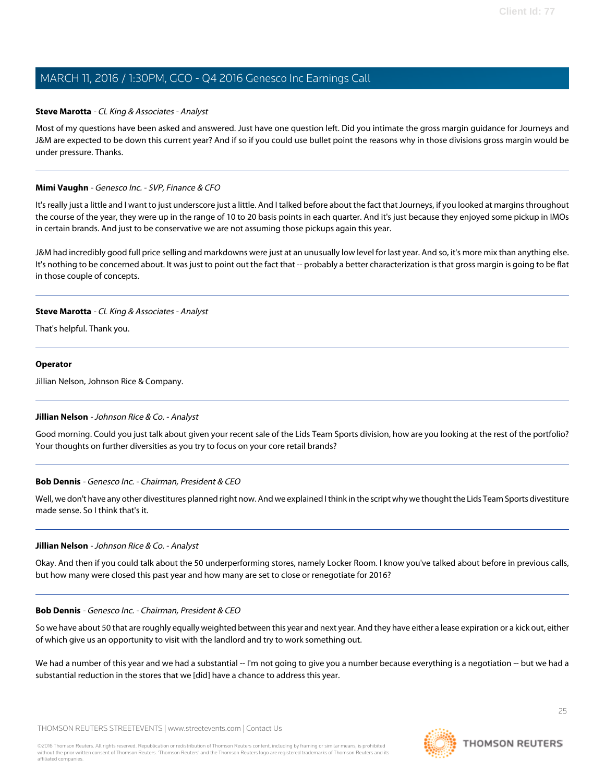#### <span id="page-24-0"></span>**Steve Marotta** - CL King & Associates - Analyst

Most of my questions have been asked and answered. Just have one question left. Did you intimate the gross margin guidance for Journeys and J&M are expected to be down this current year? And if so if you could use bullet point the reasons why in those divisions gross margin would be under pressure. Thanks.

#### **Mimi Vaughn** - Genesco Inc. - SVP, Finance & CFO

It's really just a little and I want to just underscore just a little. And I talked before about the fact that Journeys, if you looked at margins throughout the course of the year, they were up in the range of 10 to 20 basis points in each quarter. And it's just because they enjoyed some pickup in IMOs in certain brands. And just to be conservative we are not assuming those pickups again this year.

J&M had incredibly good full price selling and markdowns were just at an unusually low level for last year. And so, it's more mix than anything else. It's nothing to be concerned about. It was just to point out the fact that -- probably a better characterization is that gross margin is going to be flat in those couple of concepts.

#### **Steve Marotta** - CL King & Associates - Analyst

That's helpful. Thank you.

#### **Operator**

<span id="page-24-1"></span>Jillian Nelson, Johnson Rice & Company.

### **Jillian Nelson** - Johnson Rice & Co. - Analyst

Good morning. Could you just talk about given your recent sale of the Lids Team Sports division, how are you looking at the rest of the portfolio? Your thoughts on further diversities as you try to focus on your core retail brands?

#### **Bob Dennis** - Genesco Inc. - Chairman, President & CEO

Well, we don't have any other divestitures planned right now. And we explained I think in the script why we thought the Lids Team Sports divestiture made sense. So I think that's it.

#### **Jillian Nelson** - Johnson Rice & Co. - Analyst

Okay. And then if you could talk about the 50 underperforming stores, namely Locker Room. I know you've talked about before in previous calls, but how many were closed this past year and how many are set to close or renegotiate for 2016?

#### **Bob Dennis** - Genesco Inc. - Chairman, President & CEO

So we have about 50 that are roughly equally weighted between this year and next year. And they have either a lease expiration or a kick out, either of which give us an opportunity to visit with the landlord and try to work something out.

We had a number of this year and we had a substantial -- I'm not going to give you a number because everything is a negotiation -- but we had a substantial reduction in the stores that we [did] have a chance to address this year.

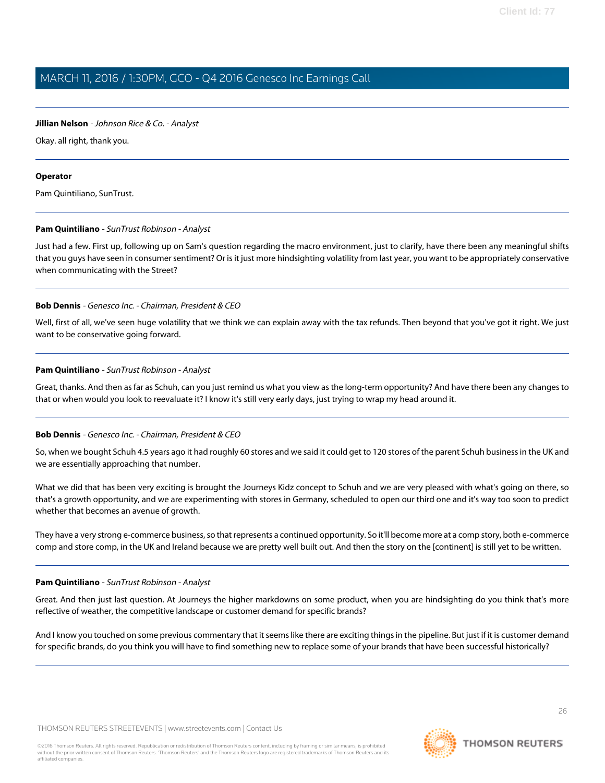### **Jillian Nelson** - Johnson Rice & Co. - Analyst

Okay. all right, thank you.

### **Operator**

<span id="page-25-0"></span>Pam Quintiliano, SunTrust.

### **Pam Quintiliano** - SunTrust Robinson - Analyst

Just had a few. First up, following up on Sam's question regarding the macro environment, just to clarify, have there been any meaningful shifts that you guys have seen in consumer sentiment? Or is it just more hindsighting volatility from last year, you want to be appropriately conservative when communicating with the Street?

### **Bob Dennis** - Genesco Inc. - Chairman, President & CEO

Well, first of all, we've seen huge volatility that we think we can explain away with the tax refunds. Then beyond that you've got it right. We just want to be conservative going forward.

### **Pam Quintiliano** - SunTrust Robinson - Analyst

Great, thanks. And then as far as Schuh, can you just remind us what you view as the long-term opportunity? And have there been any changes to that or when would you look to reevaluate it? I know it's still very early days, just trying to wrap my head around it.

### **Bob Dennis** - Genesco Inc. - Chairman, President & CEO

So, when we bought Schuh 4.5 years ago it had roughly 60 stores and we said it could get to 120 stores of the parent Schuh business in the UK and we are essentially approaching that number.

What we did that has been very exciting is brought the Journeys Kidz concept to Schuh and we are very pleased with what's going on there, so that's a growth opportunity, and we are experimenting with stores in Germany, scheduled to open our third one and it's way too soon to predict whether that becomes an avenue of growth.

They have a very strong e-commerce business, so that represents a continued opportunity. So it'll become more at a comp story, both e-commerce comp and store comp, in the UK and Ireland because we are pretty well built out. And then the story on the [continent] is still yet to be written.

### **Pam Quintiliano** - SunTrust Robinson - Analyst

Great. And then just last question. At Journeys the higher markdowns on some product, when you are hindsighting do you think that's more reflective of weather, the competitive landscape or customer demand for specific brands?

And I know you touched on some previous commentary that it seems like there are exciting things in the pipeline. But just if it is customer demand for specific brands, do you think you will have to find something new to replace some of your brands that have been successful historically?

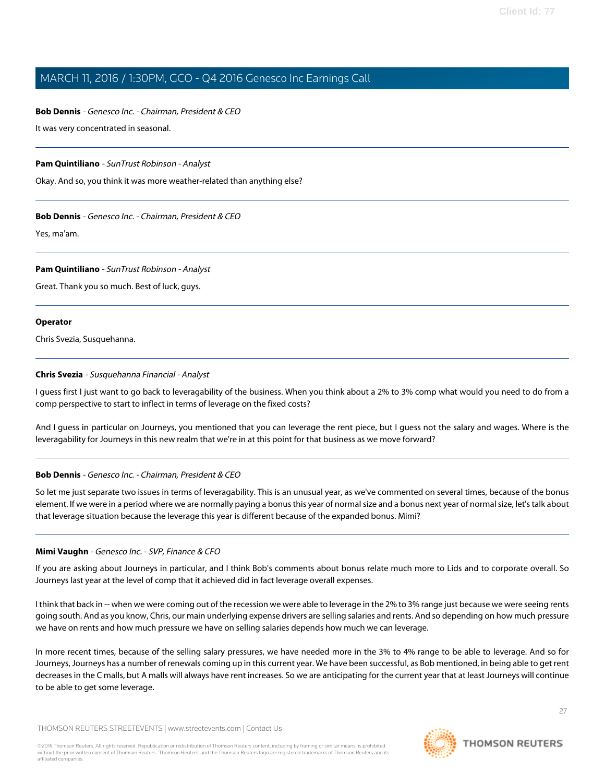### **Bob Dennis** - Genesco Inc. - Chairman, President & CEO

It was very concentrated in seasonal.

### **Pam Quintiliano** - SunTrust Robinson - Analyst

Okay. And so, you think it was more weather-related than anything else?

### **Bob Dennis** - Genesco Inc. - Chairman, President & CEO

Yes, ma'am.

#### **Pam Quintiliano** - SunTrust Robinson - Analyst

Great. Thank you so much. Best of luck, guys.

#### **Operator**

<span id="page-26-0"></span>Chris Svezia, Susquehanna.

#### **Chris Svezia** - Susquehanna Financial - Analyst

I guess first I just want to go back to leveragability of the business. When you think about a 2% to 3% comp what would you need to do from a comp perspective to start to inflect in terms of leverage on the fixed costs?

And I guess in particular on Journeys, you mentioned that you can leverage the rent piece, but I guess not the salary and wages. Where is the leveragability for Journeys in this new realm that we're in at this point for that business as we move forward?

### **Bob Dennis** - Genesco Inc. - Chairman, President & CEO

So let me just separate two issues in terms of leveragability. This is an unusual year, as we've commented on several times, because of the bonus element. If we were in a period where we are normally paying a bonus this year of normal size and a bonus next year of normal size, let's talk about that leverage situation because the leverage this year is different because of the expanded bonus. Mimi?

### **Mimi Vaughn** - Genesco Inc. - SVP, Finance & CFO

If you are asking about Journeys in particular, and I think Bob's comments about bonus relate much more to Lids and to corporate overall. So Journeys last year at the level of comp that it achieved did in fact leverage overall expenses.

I think that back in -- when we were coming out of the recession we were able to leverage in the 2% to 3% range just because we were seeing rents going south. And as you know, Chris, our main underlying expense drivers are selling salaries and rents. And so depending on how much pressure we have on rents and how much pressure we have on selling salaries depends how much we can leverage.

In more recent times, because of the selling salary pressures, we have needed more in the 3% to 4% range to be able to leverage. And so for Journeys, Journeys has a number of renewals coming up in this current year. We have been successful, as Bob mentioned, in being able to get rent decreases in the C malls, but A malls will always have rent increases. So we are anticipating for the current year that at least Journeys will continue to be able to get some leverage.



27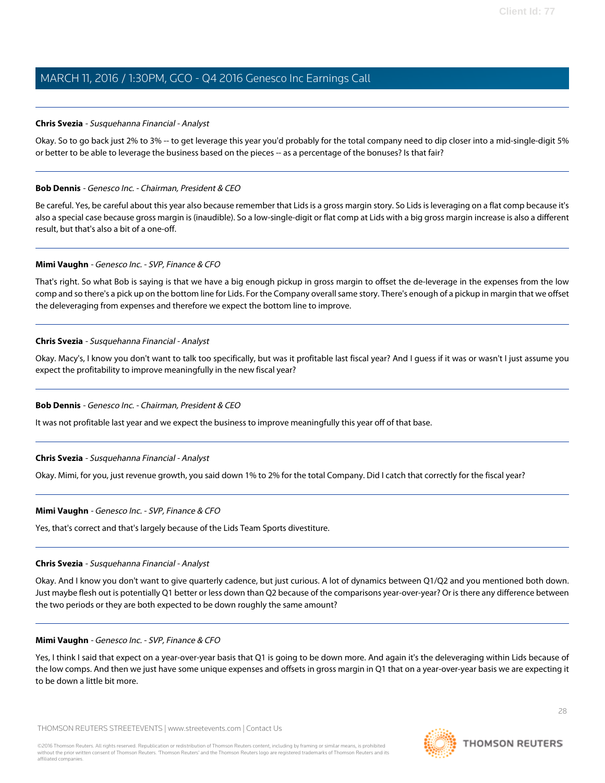#### **Chris Svezia** - Susquehanna Financial - Analyst

Okay. So to go back just 2% to 3% -- to get leverage this year you'd probably for the total company need to dip closer into a mid-single-digit 5% or better to be able to leverage the business based on the pieces -- as a percentage of the bonuses? Is that fair?

#### **Bob Dennis** - Genesco Inc. - Chairman, President & CEO

Be careful. Yes, be careful about this year also because remember that Lids is a gross margin story. So Lids is leveraging on a flat comp because it's also a special case because gross margin is (inaudible). So a low-single-digit or flat comp at Lids with a big gross margin increase is also a different result, but that's also a bit of a one-off.

#### **Mimi Vaughn** - Genesco Inc. - SVP, Finance & CFO

That's right. So what Bob is saying is that we have a big enough pickup in gross margin to offset the de-leverage in the expenses from the low comp and so there's a pick up on the bottom line for Lids. For the Company overall same story. There's enough of a pickup in margin that we offset the deleveraging from expenses and therefore we expect the bottom line to improve.

#### **Chris Svezia** - Susquehanna Financial - Analyst

Okay. Macy's, I know you don't want to talk too specifically, but was it profitable last fiscal year? And I guess if it was or wasn't I just assume you expect the profitability to improve meaningfully in the new fiscal year?

### **Bob Dennis** - Genesco Inc. - Chairman, President & CEO

It was not profitable last year and we expect the business to improve meaningfully this year off of that base.

#### **Chris Svezia** - Susquehanna Financial - Analyst

Okay. Mimi, for you, just revenue growth, you said down 1% to 2% for the total Company. Did I catch that correctly for the fiscal year?

#### **Mimi Vaughn** - Genesco Inc. - SVP, Finance & CFO

Yes, that's correct and that's largely because of the Lids Team Sports divestiture.

#### **Chris Svezia** - Susquehanna Financial - Analyst

Okay. And I know you don't want to give quarterly cadence, but just curious. A lot of dynamics between Q1/Q2 and you mentioned both down. Just maybe flesh out is potentially Q1 better or less down than Q2 because of the comparisons year-over-year? Or is there any difference between the two periods or they are both expected to be down roughly the same amount?

#### **Mimi Vaughn** - Genesco Inc. - SVP, Finance & CFO

Yes, I think I said that expect on a year-over-year basis that Q1 is going to be down more. And again it's the deleveraging within Lids because of the low comps. And then we just have some unique expenses and offsets in gross margin in Q1 that on a year-over-year basis we are expecting it to be down a little bit more.